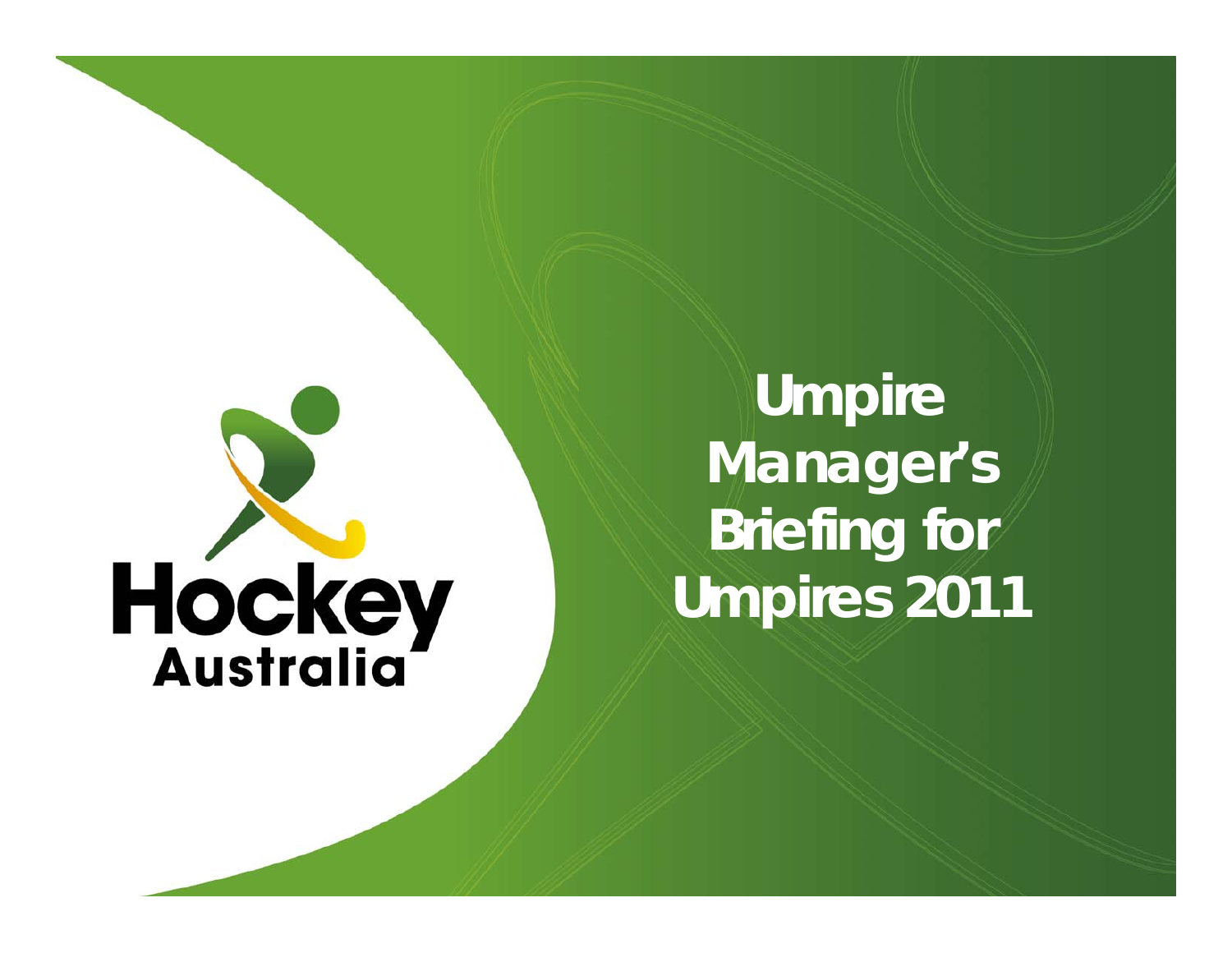# **Hockey**

**Umpire Manager's Briefing for Umpires 2011**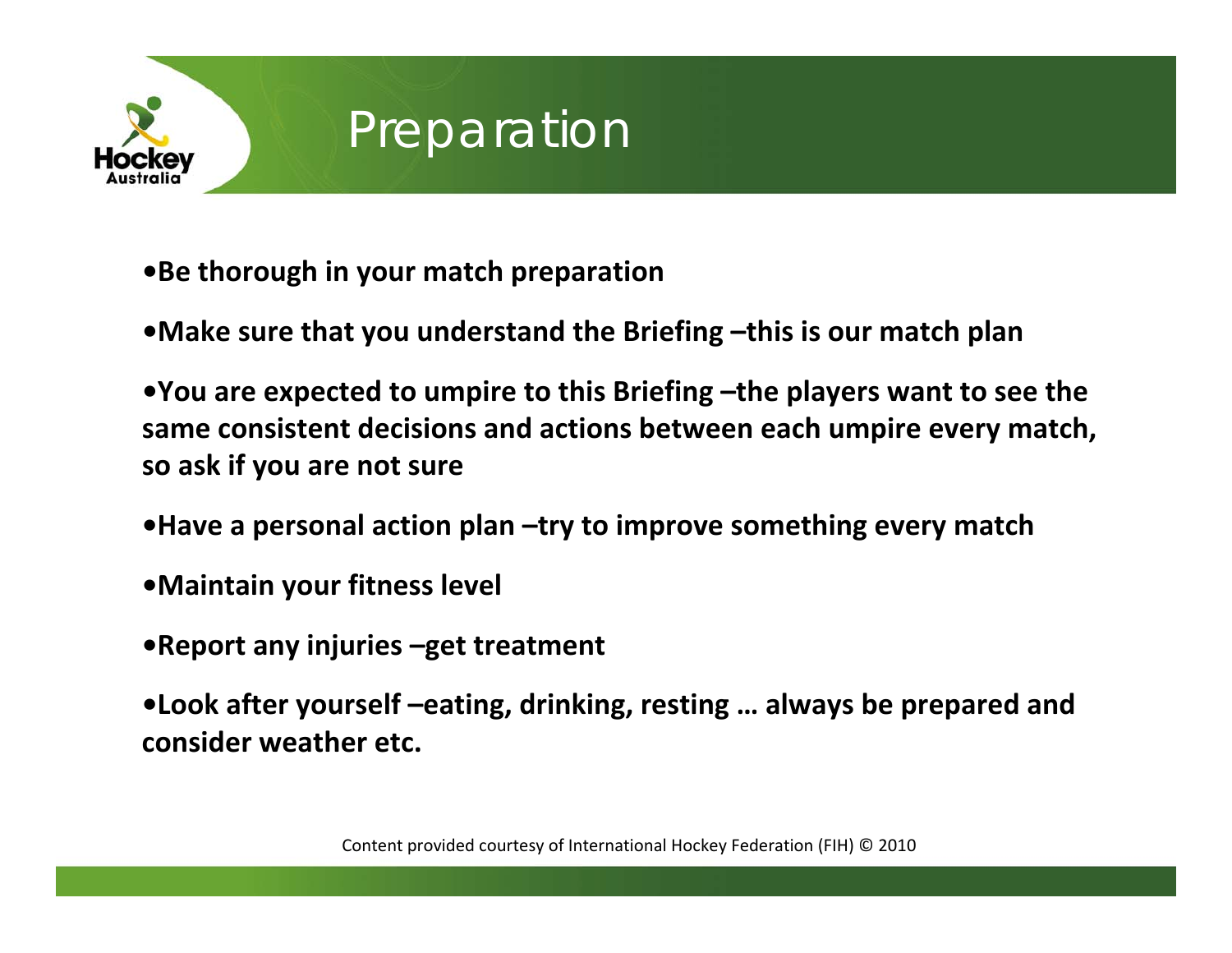

## **Preparation**

- **•Be thorough in your match preparation**
- **•Make sure that you understand the Briefing –this is our match plan**

**•You are expected to umpire to this Briefing –the players want to see the same consistent decisions and actions between each umpire every match, so ask if you are not sure**

- **•Have <sup>a</sup> personal action plan –try to improve something every match**
- **•Maintain your fitness level**
- **•Report any injuries –get treatment**

**•Look after yourself –eating, drinking, resting … always be prepared and consider weather etc.**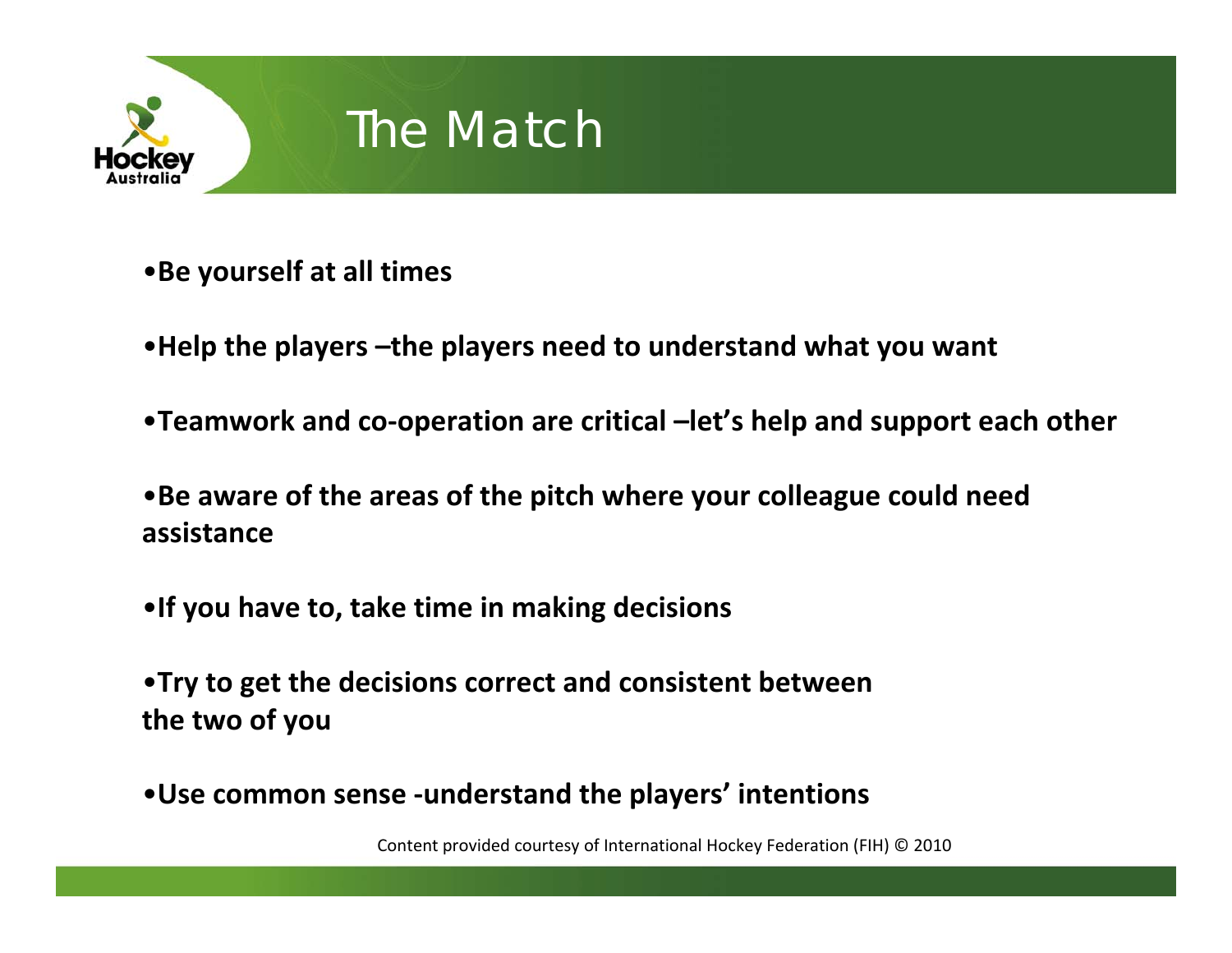

## The Match

•**Be yourself at all times**

- •**Help the players –the players need to understand what you want**
- •**Teamwork and co‐operation are critical –let's help and support each other**
- •**Be aware of the areas of the pitch where your colleague could need assistance**
- •**If you have to, take time in making decisions**

•**Try to get the decisions correct and consistent between the two of you**

•**Use common sense ‐understand the players' intentions**

Content provided courtesy of International Hockey Federation (FIH) © 2010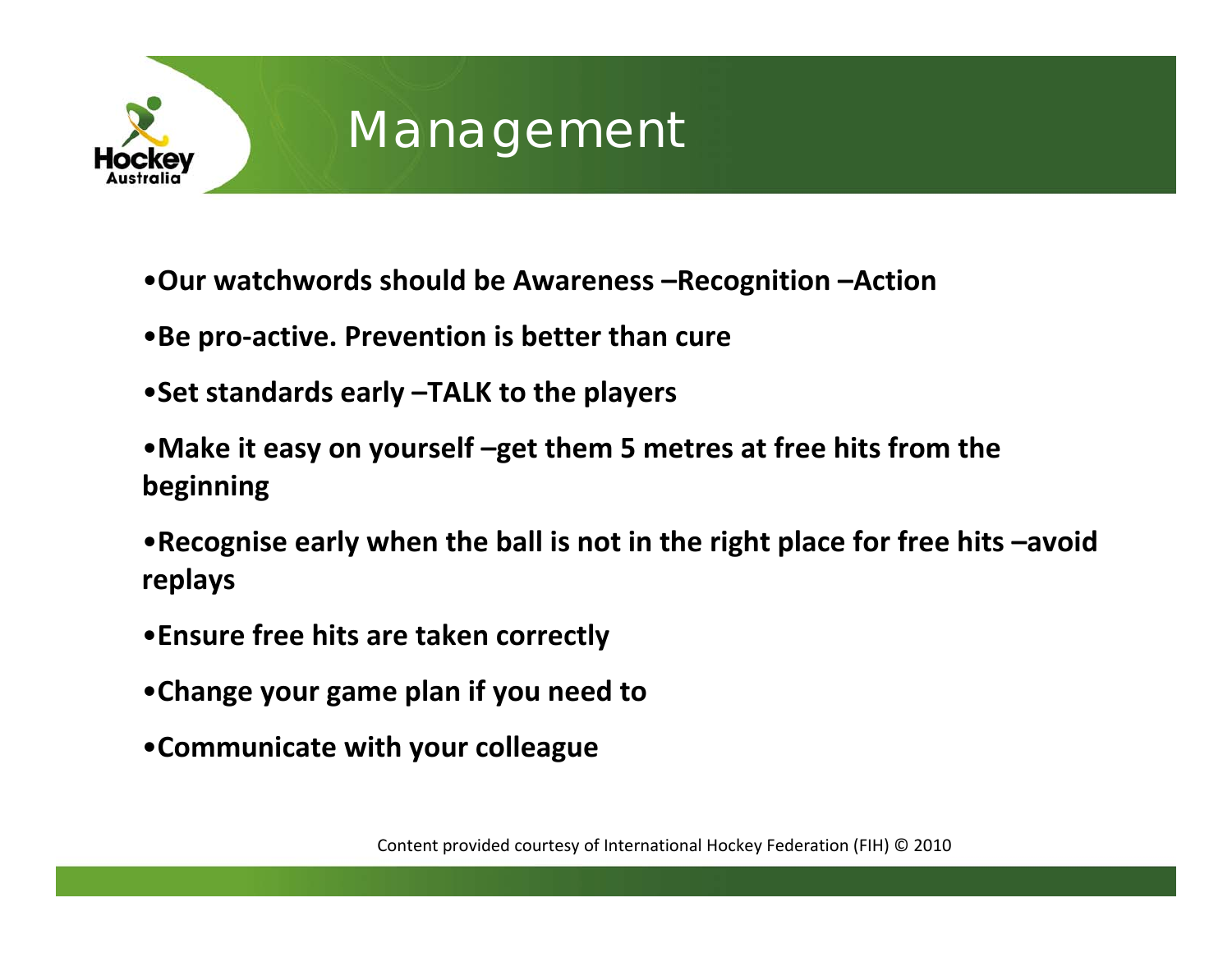

#### Management

- •**Our watchwords should be Awareness –Recognition –Action**
- •**Be pro‐active. Prevention is better than cure**
- •**Set standards early –TALK to the players**
- •**Make it easy on yourself –get them 5 metres at free hits from the beginning**
- •**Recognise early when the ball is not in the right place for free hits –avoid replays**
- •**Ensure free hits are taken correctly**
- •**Change your game plan if you need to**
- •**Communicate with your colleague**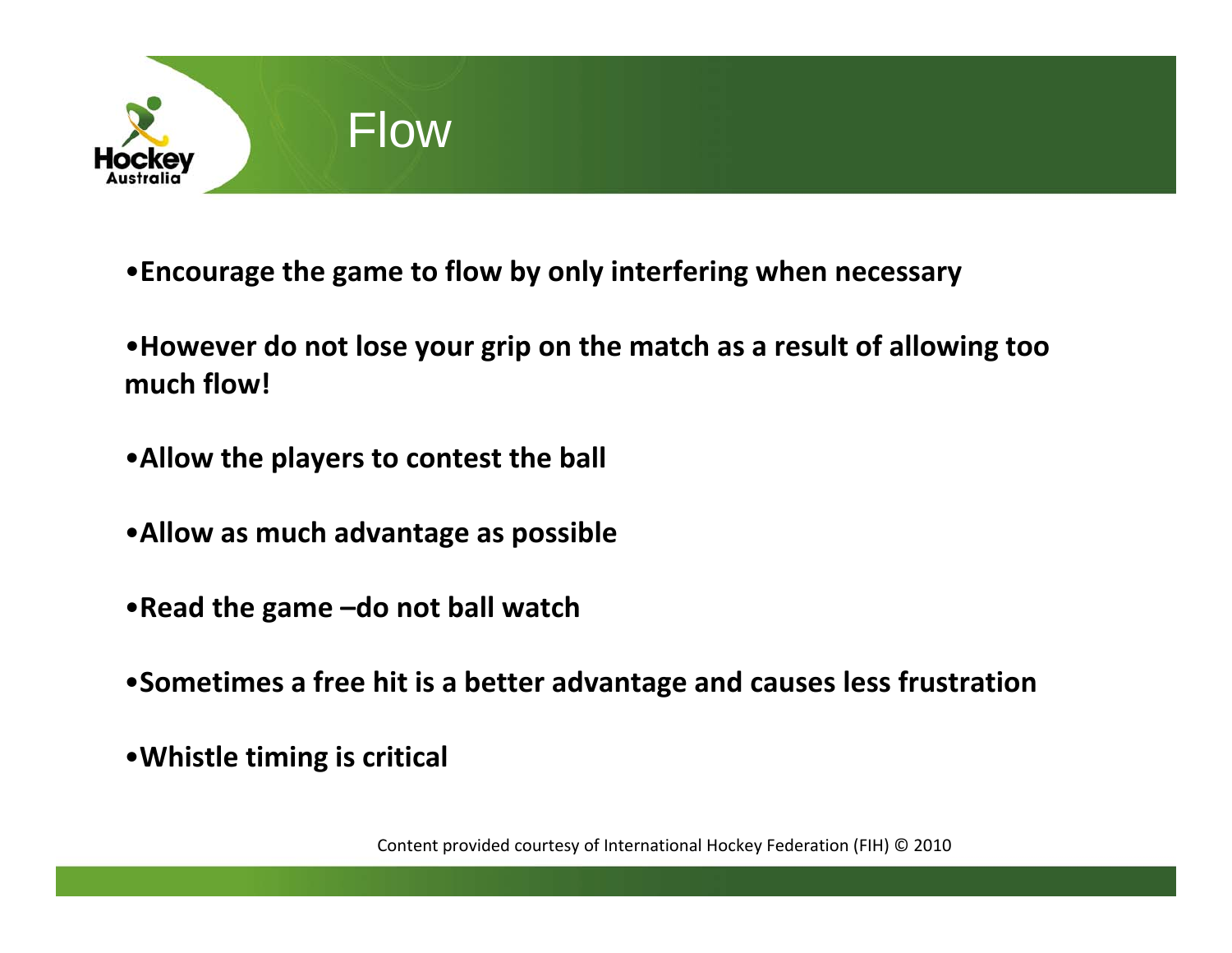

- •**Encourage the game to flow by only interfering when necessary**
- •**However do not lose your grip on the match as <sup>a</sup> result of allowing too much flow!**
- •**Allow the players to contest the ball**
- •**Allow as much advantage as possible**
- •**Read the game –do not ball watch**
- •**Sometimes a free hit is <sup>a</sup> better advantage and causes less frustration**
- •**Whistle timing is critical**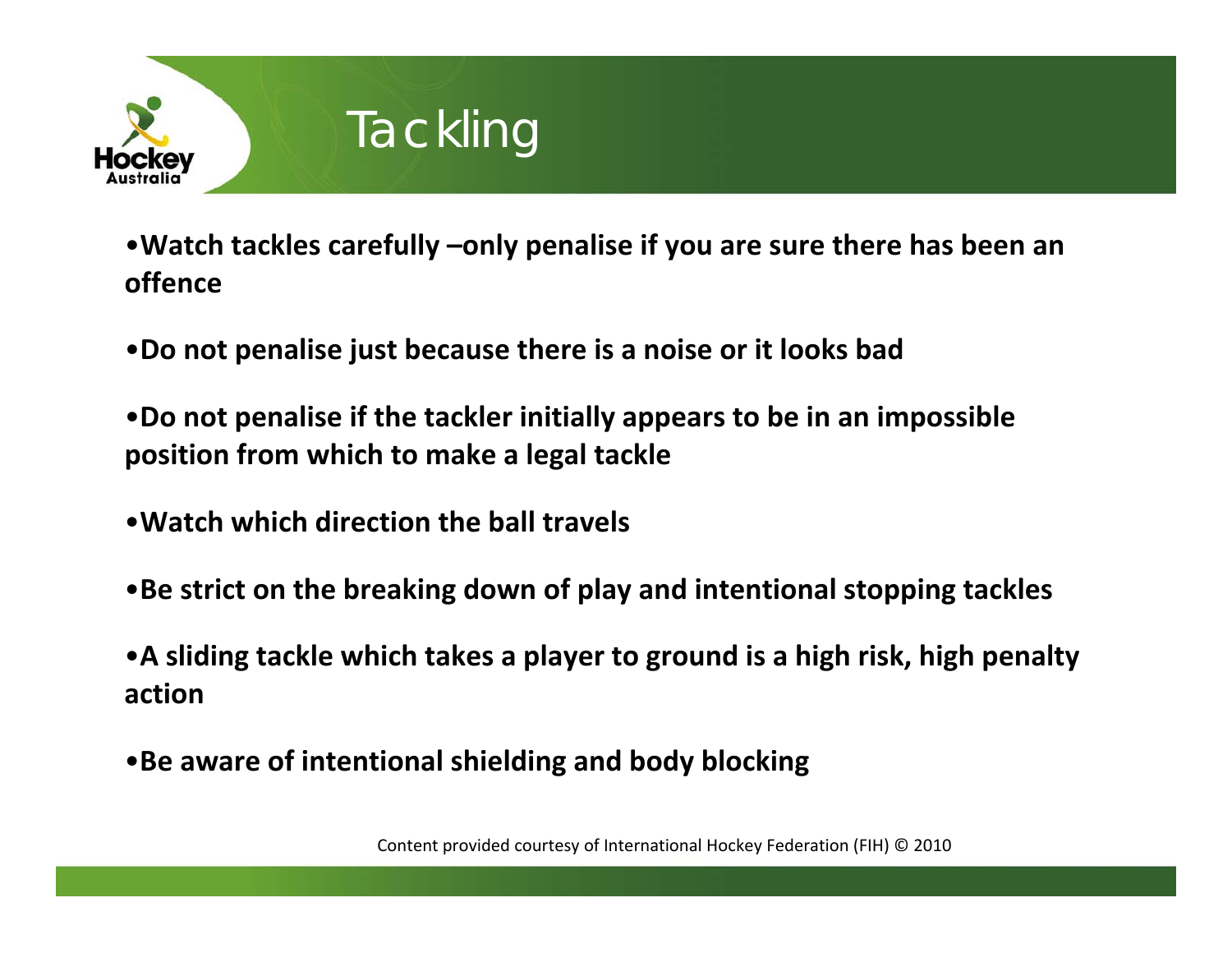

## **Tackling**

•**Watch tackles carefully –only penalise if you are sure there has been an offence**

•**Do not penalise just because there is <sup>a</sup> noise or it looks bad**

•**Do not penalise if the tackler initially appears to be in an impossible position from which to make <sup>a</sup> legal tackle**

- •**Watch which direction the ball travels**
- •**Be strict on the breaking down of play and intentional stopping tackles**

•**A sliding tackle which takes <sup>a</sup> player to ground is <sup>a</sup> high risk, high penalty action**

•**Be aware of intentional shielding and body blocking**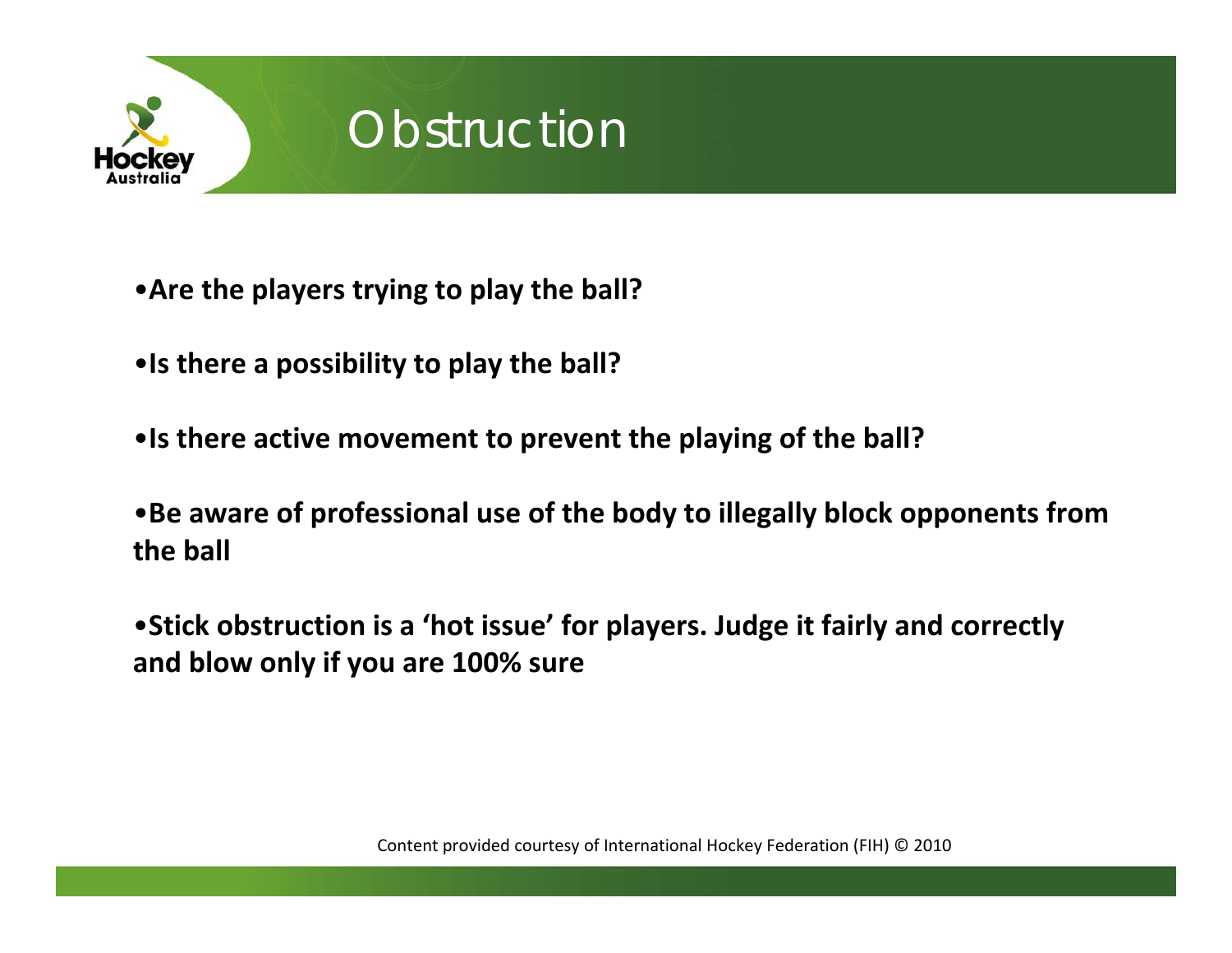

### **Obstruction**

- •**Are the players trying to play the ball?**
- •**Is there <sup>a</sup> possibility to play the ball?**
- •**Is there active movement to prevent the playing of the ball?**
- •**Be aware of professional use of the body to illegally block opponents from the ball**
- •**Stick obstruction is <sup>a</sup> 'hot issue' for players. Judge it fairly and correctly and blow only if you are 100% sure**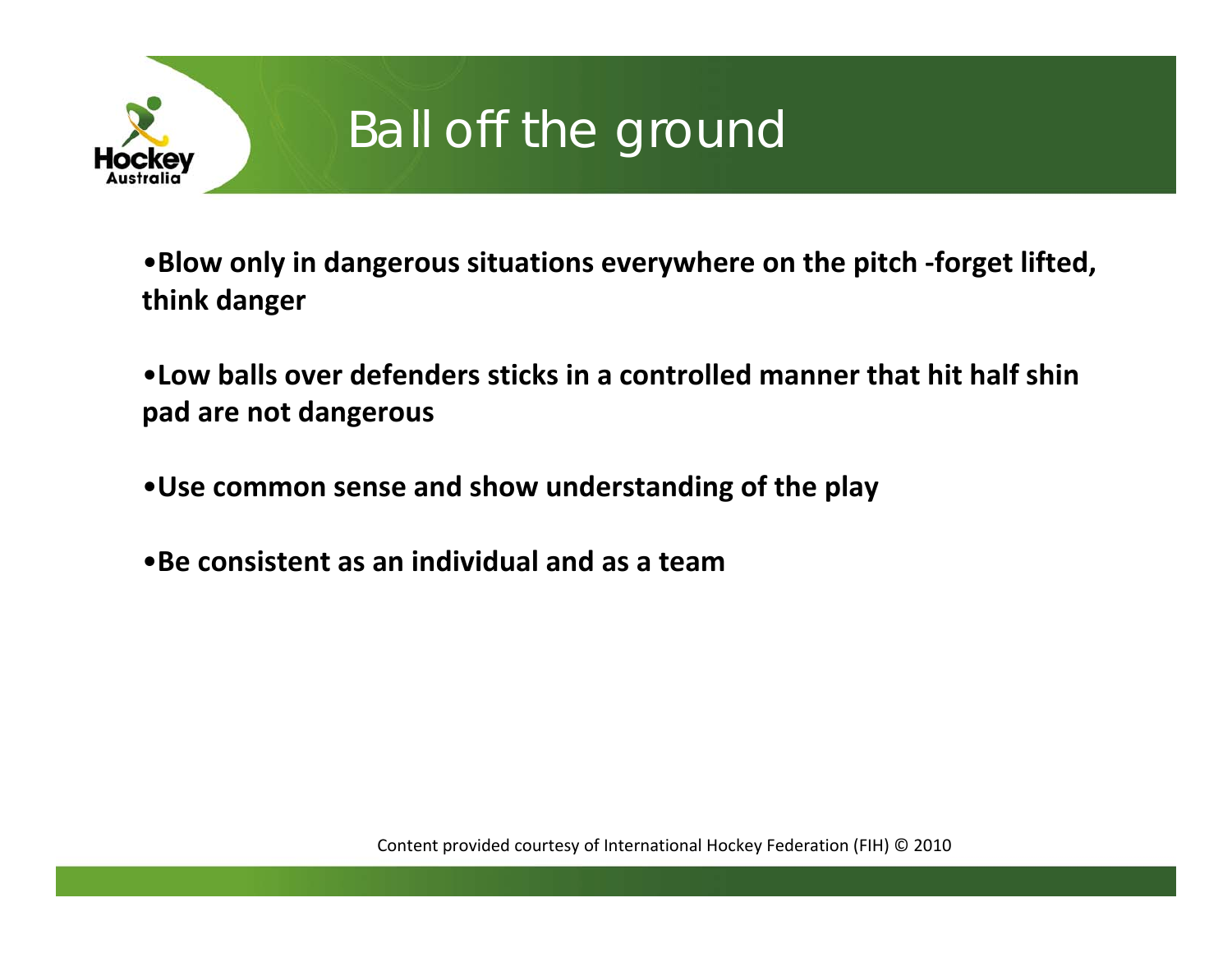

# Ball off the ground

•**Blow only in dangerous situations everywhere on the pitch ‐forget lifted, think danger**

•**Low balls over defenders sticks in a controlled manner that hit half shin pad are not dangerous**

•**Use common sense and show understanding of the play**

•**Be consistent as an individual and as a team**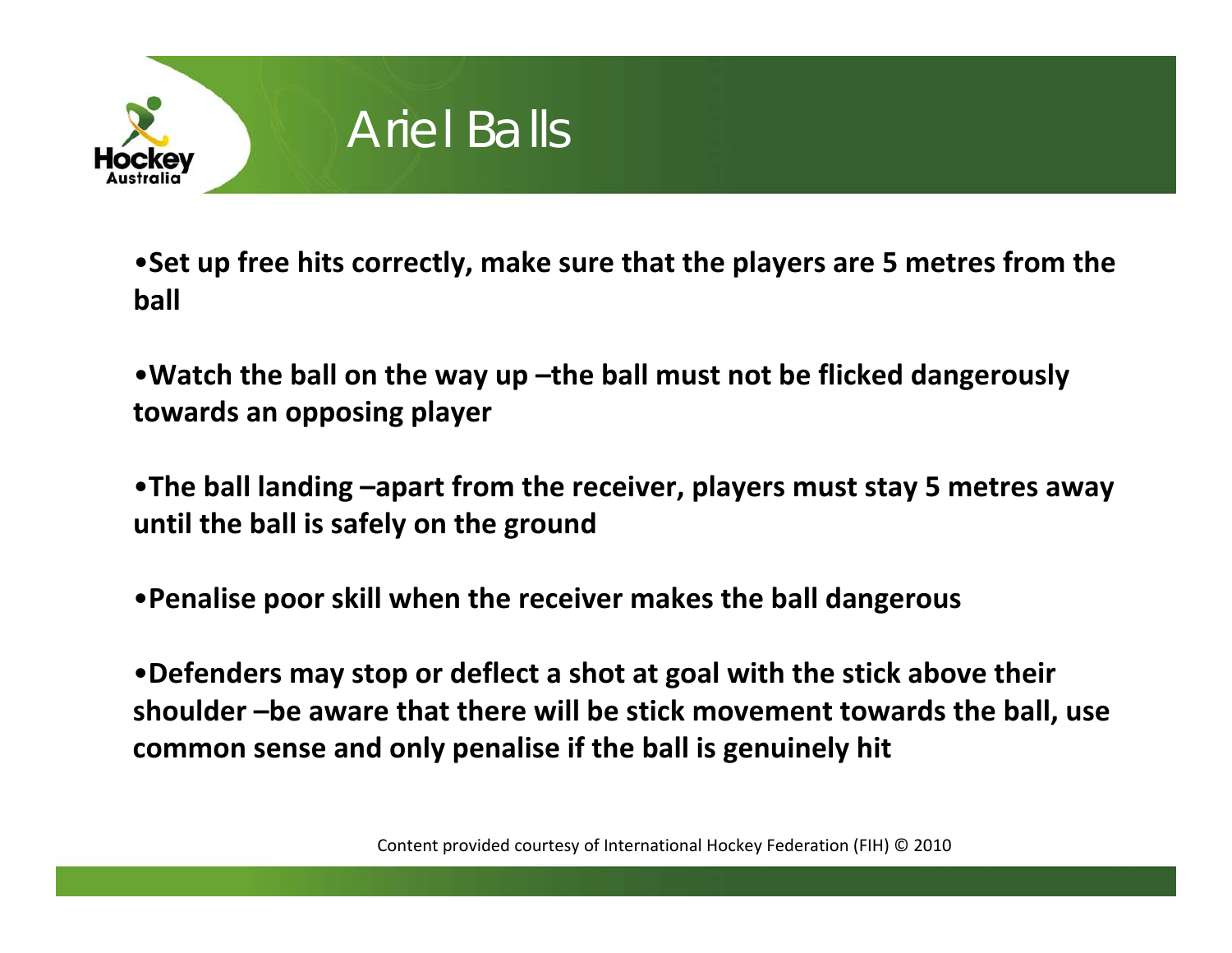

#### Ariel Balls

•**Set up free hits correctly, make sure that the players are 5 metres from the ball**

•**Watch the ball on the way up –the ball must not be flicked dangerously towards an opposing player**

•**The ball landing –apart from the receiver, players must stay 5 metres away until the ball is safely on the ground**

•**Penalise poor skill when the receiver makes the ball dangerous**

•**Defenders may stop or deflect <sup>a</sup> shot at goal with the stick above their shoulder –be aware that there will be stick movement towards the ball, use common sense and only penalise if the ball is genuinely hit**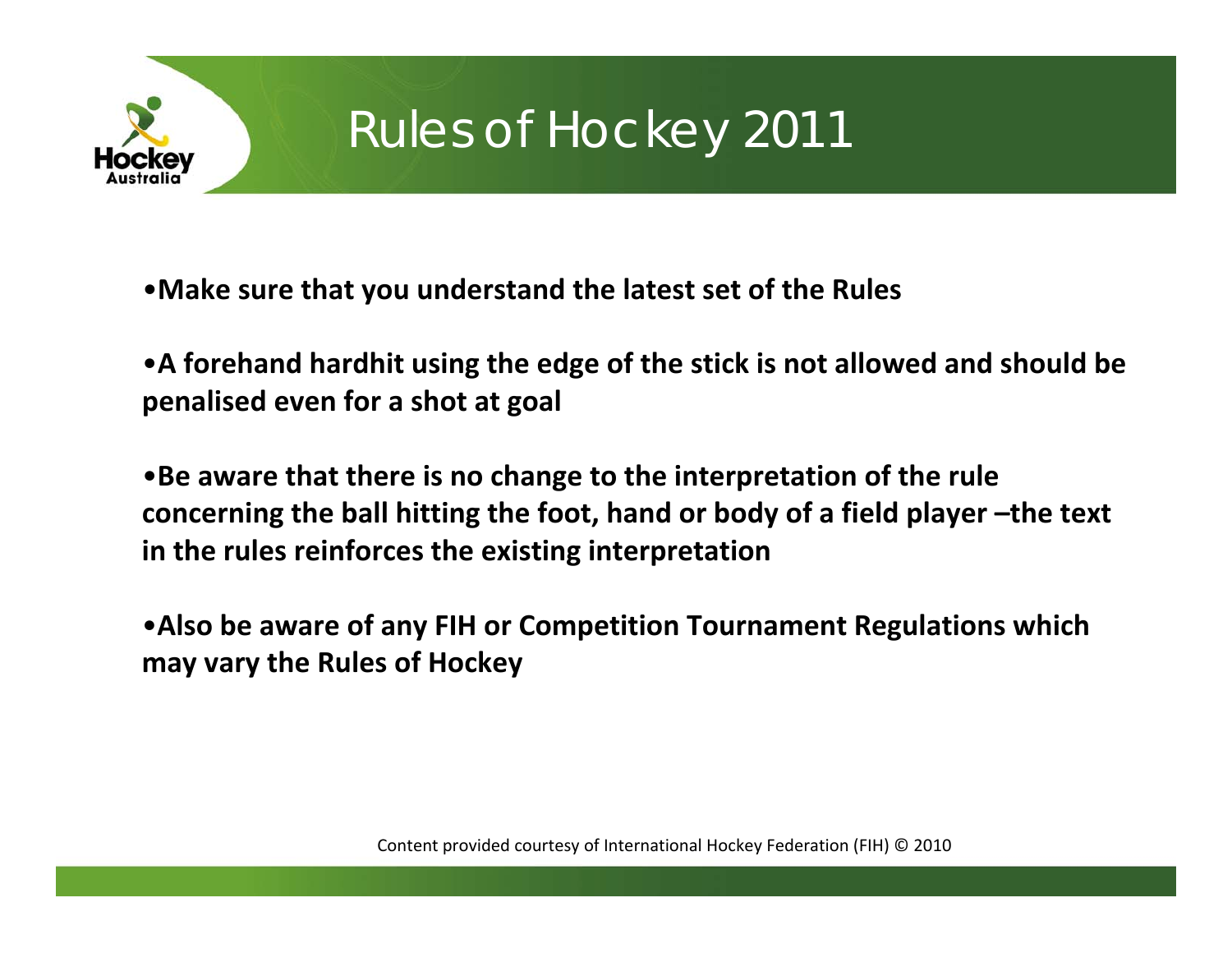

## Rules of Hockey 2011

•**Make sure that you understand the latest set of the Rules**

• **A forehand hardhit using the edge of the stick is not allowed and should be penalised even for a shot at goal**

•**Be aware that there is no change to the interpretation of the rule concerning the ball hitting the foot, hand or body of a field player –the text in the rules reinforces the existing interpretation**

•**Also be aware of any FIH or Competition Tournament Regulations which may vary the Rules of Hockey**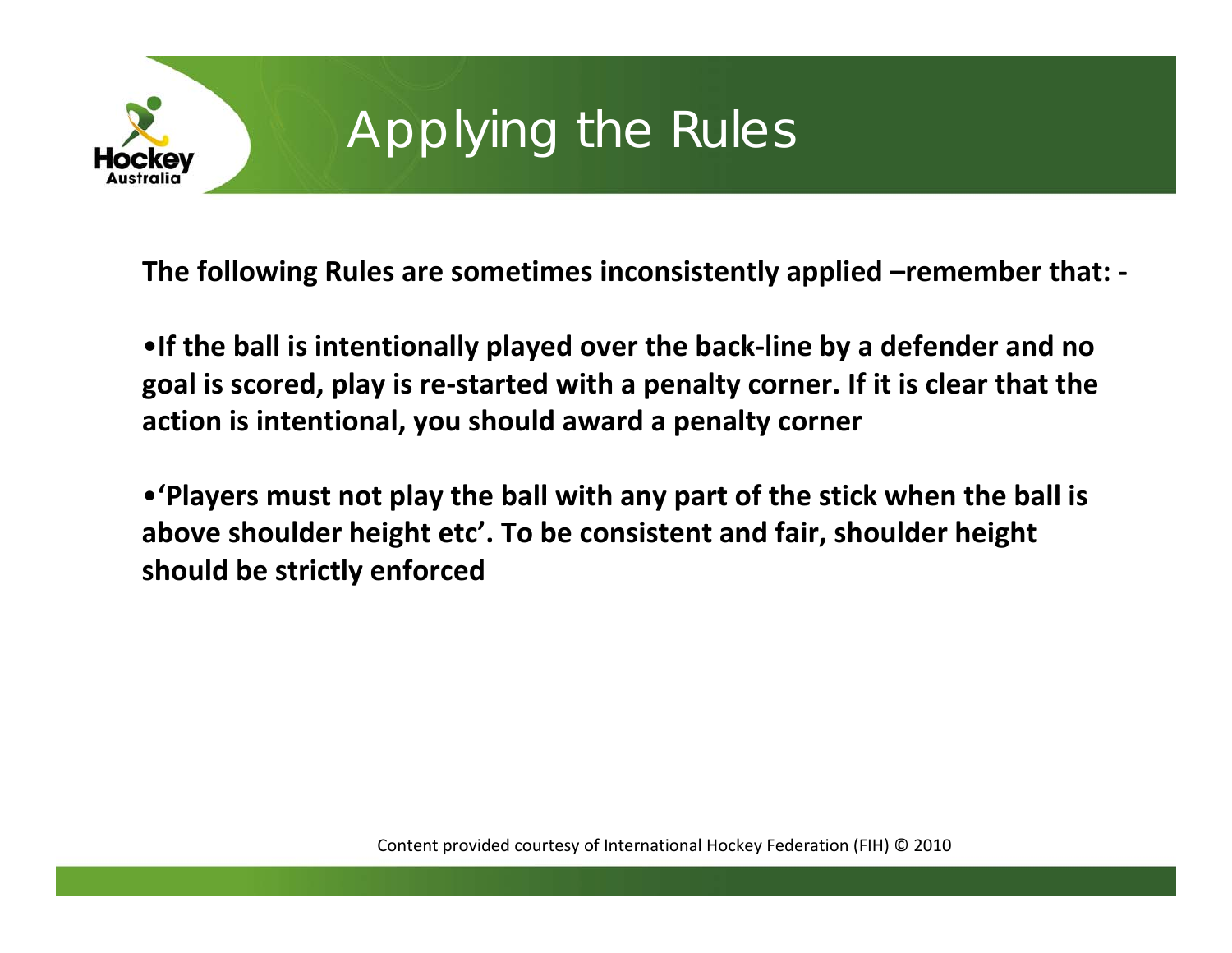

# Applying the Rules

**The following Rules are sometimes inconsistently applied –remember that: ‐**

•**If the ball is intentionally played over the back ‐line by a defender and no goal is scored, play is re ‐started with a penalty corner. If it is clear that the action is intentional, you should award a penalty corner**

•**'Players must not play the ball with any part of the stick when the ball is above shoulder height etc'. To be consistent and fair, shoulder height should be strictly enforced**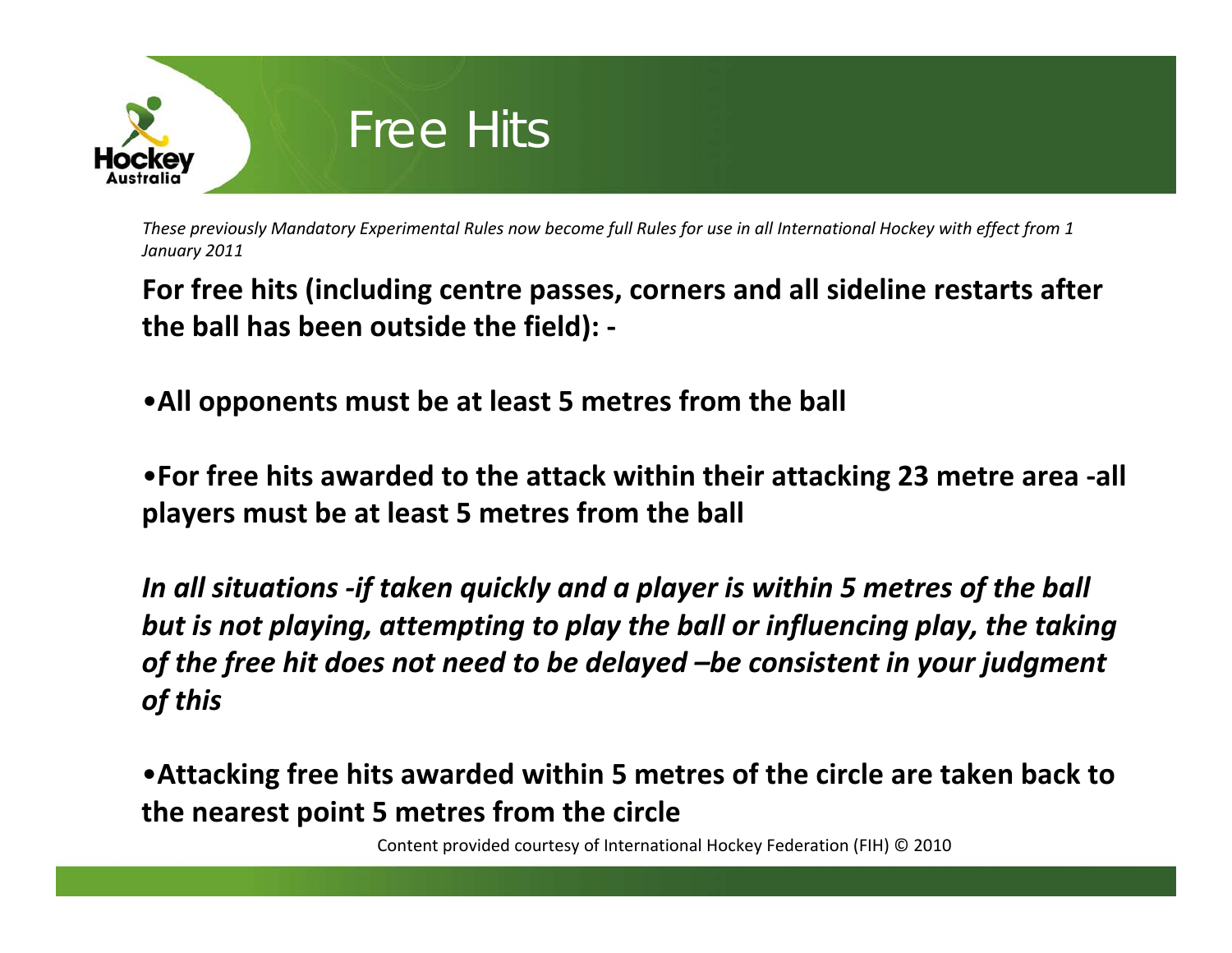

**For free hits (including centre passes, corners and all sideline restarts after the ball has been outside the field): ‐**

•**All opponents must be at least 5 metres from the ball**

•**For free hits awarded to the attack within their attacking 23 metre area ‐all players must be at least 5 metres from the ball**

*In all situations ‐if taken quickly and <sup>a</sup> player is within 5 metres of the ball but is not playing, attempting to play the ball or influencing play, the taking of the free hit does not need to be delayed –be consistent in your judgment of this*

•**Attacking free hits awarded within 5 metres of the circle are taken back to the nearest point 5 metres from the circle**

Content provided courtesy of International Hockey Federation (FIH) © 2010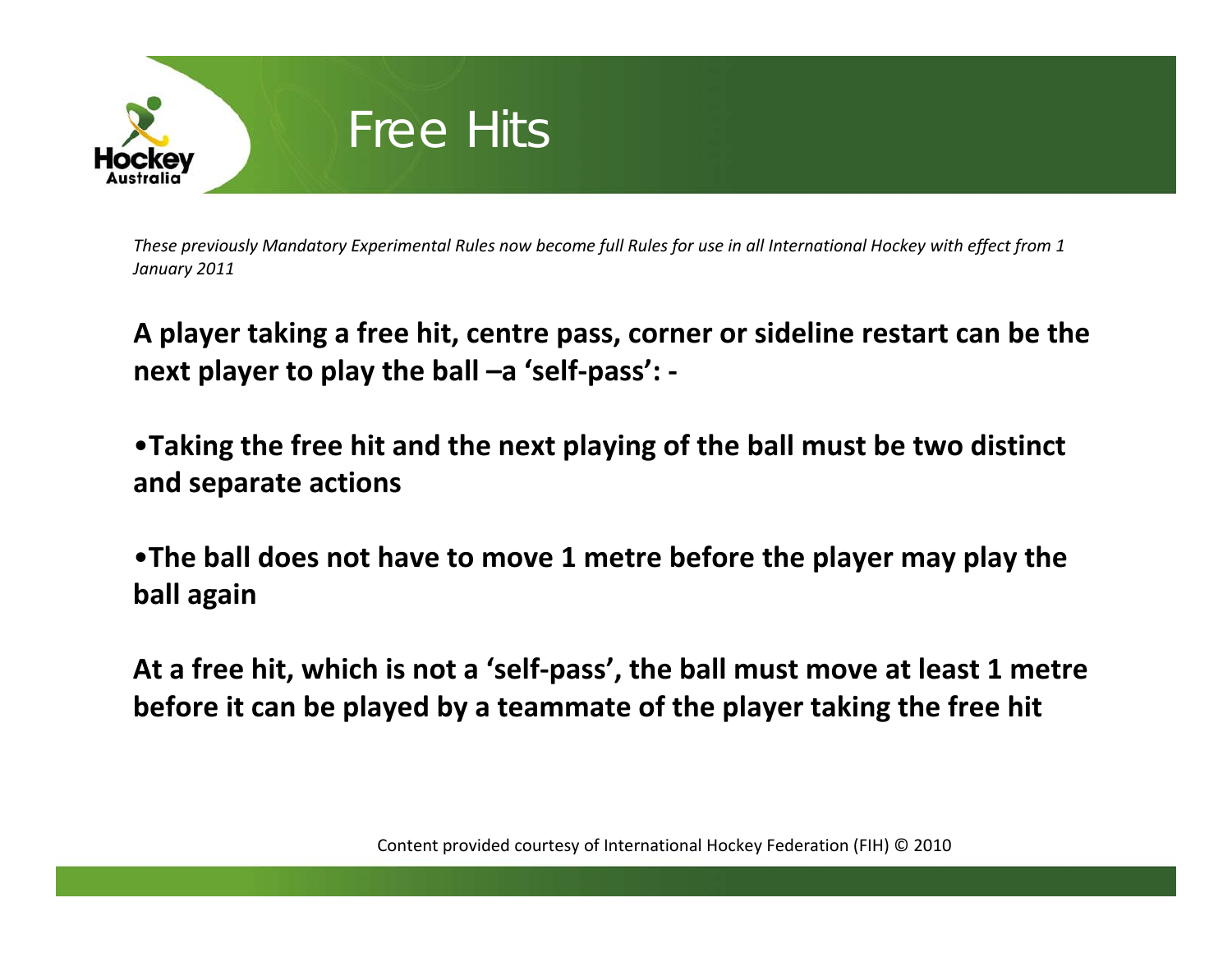

**A player taking <sup>a</sup> free hit, centre pass, corner or sideline restart can be the next player to play the ball –a 'self‐pass': ‐**

•**Taking the free hit and the next playing of the ball must be two distinct and separate actions**

•**The ball does not have to move 1 metre before the player may play the ball again**

**At a free hit, which is not <sup>a</sup> 'self‐pass', the ball must move at least 1 metre before it can be played by <sup>a</sup> teammate of the player taking the free hit**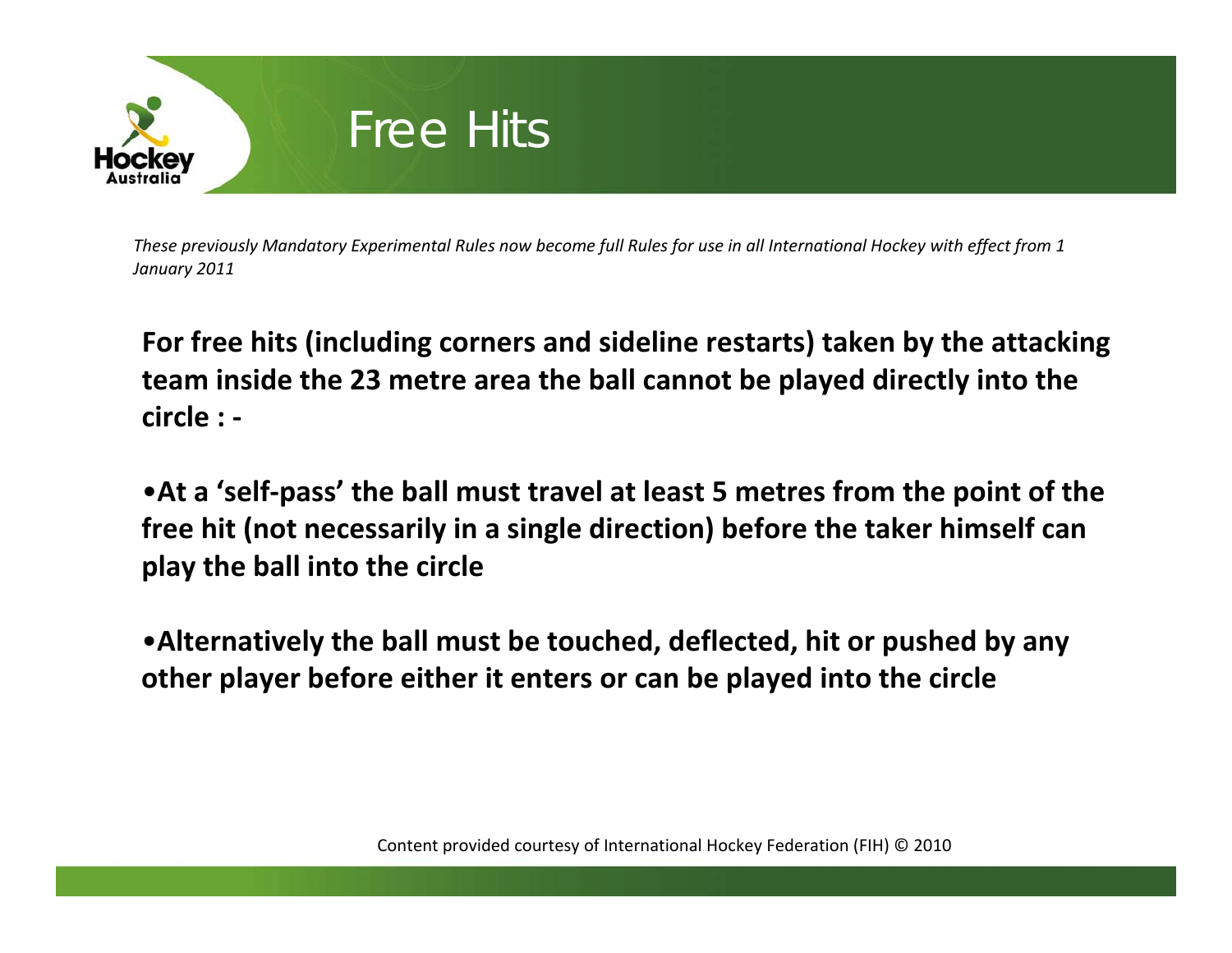

**For free hits (including corners and sideline restarts) taken by the attacking team inside the 23 metre area the ball cannot be played directly into the circle : ‐**

•**At a 'self‐pass' the ball must travel at least 5 metres from the point of the free hit (not necessarily in <sup>a</sup> single direction) before the taker himself can play the ball into the circle**

•**Alternatively the ball must be touched, deflected, hit or pushed by any other player before either it enters or can be played into the circle**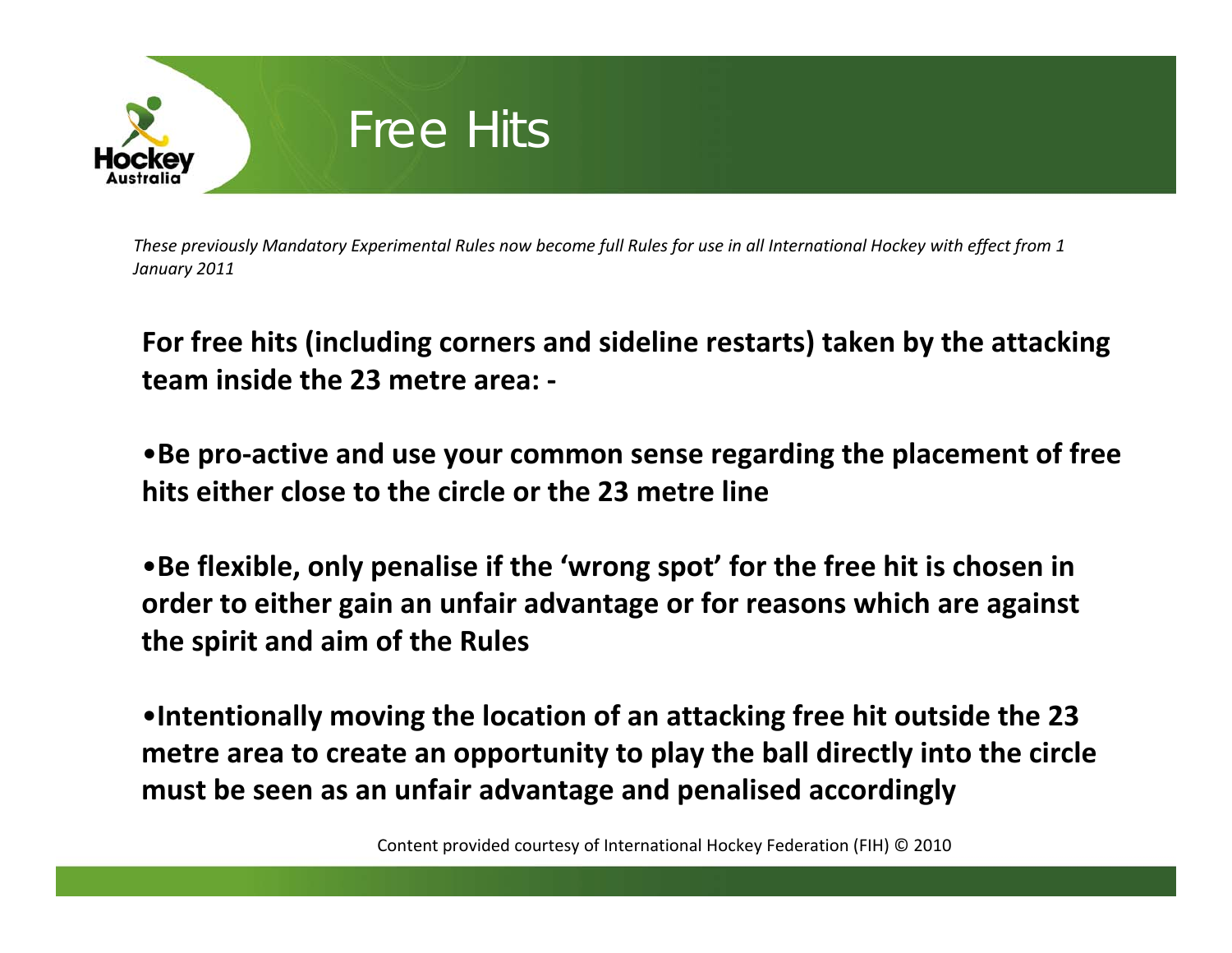

**For free hits (including corners and sideline restarts) taken by the attacking team inside the 23 metre area: ‐**

•**Be pro‐active and use your common sense regarding the placement of free hits either close to the circle or the 23 metre line**

•**Be flexible, only penalise if the 'wrong spot' for the free hit is chosen in order to either gain an unfair advantage or for reasons which are against the spirit and aim of the Rules**

•**Intentionally moving the location of an attacking free hit outside the 23 metre area to create an opportunity to play the ball directly into the circle must be seen as an unfair advantage and penalised accordingly**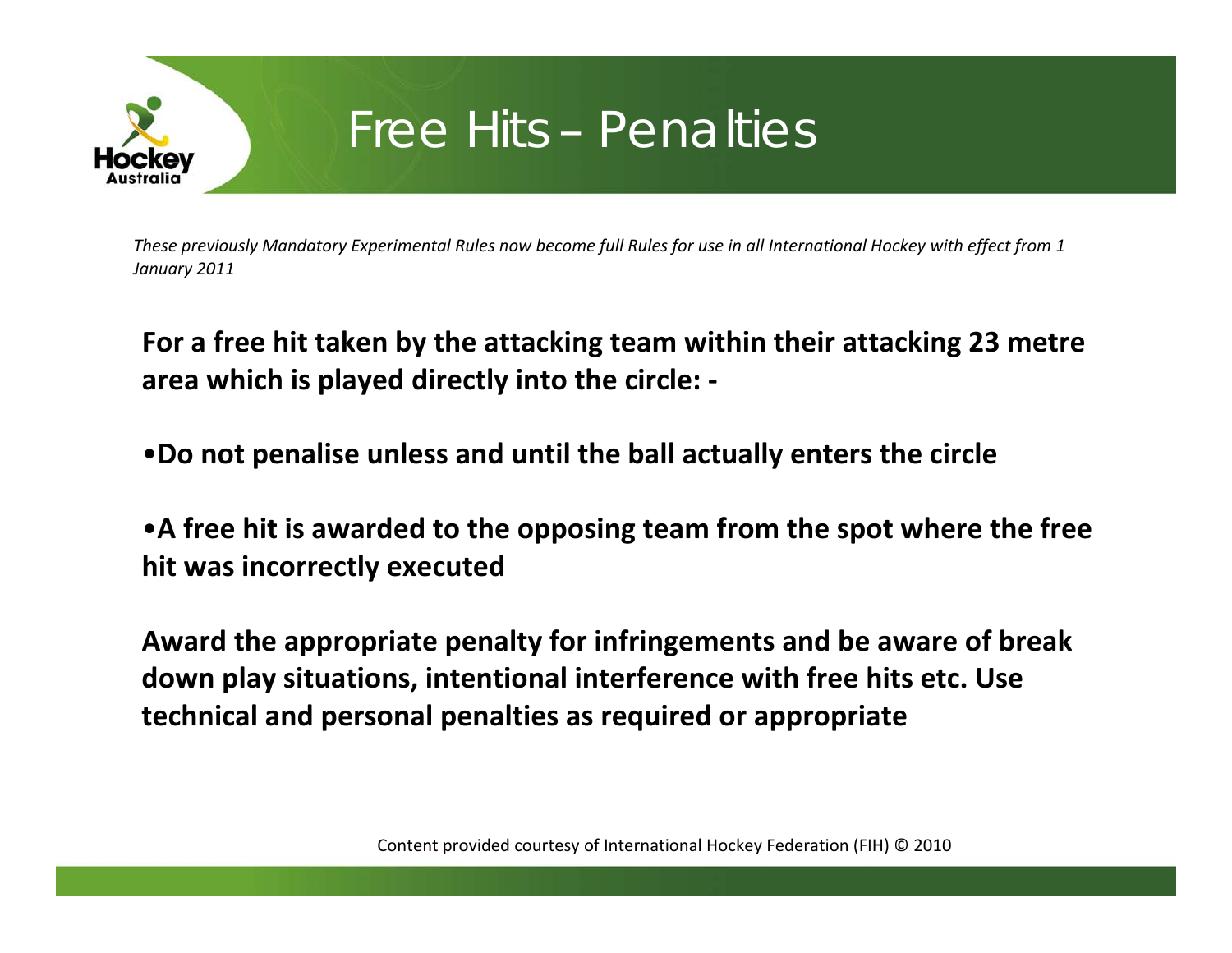

#### Free Hits – Penalties

These previously Mandatory Experimental Rules now become full Rules for use in all International Hockey with effect from 1 *January 2011*

**For a free hit taken by the attacking team within their attacking 23 metre area which is played directly into the circle: ‐**

•**Do not penalise unless and until the ball actually enters the circle**

• **A free hit is awarded to the opposing team from the spot where the free hit was incorrectly executed**

**Award the appropriate penalty for infringements and be aware of break down play situations, intentional interference with free hits etc. Use technical and personal penalties as required or appropriate**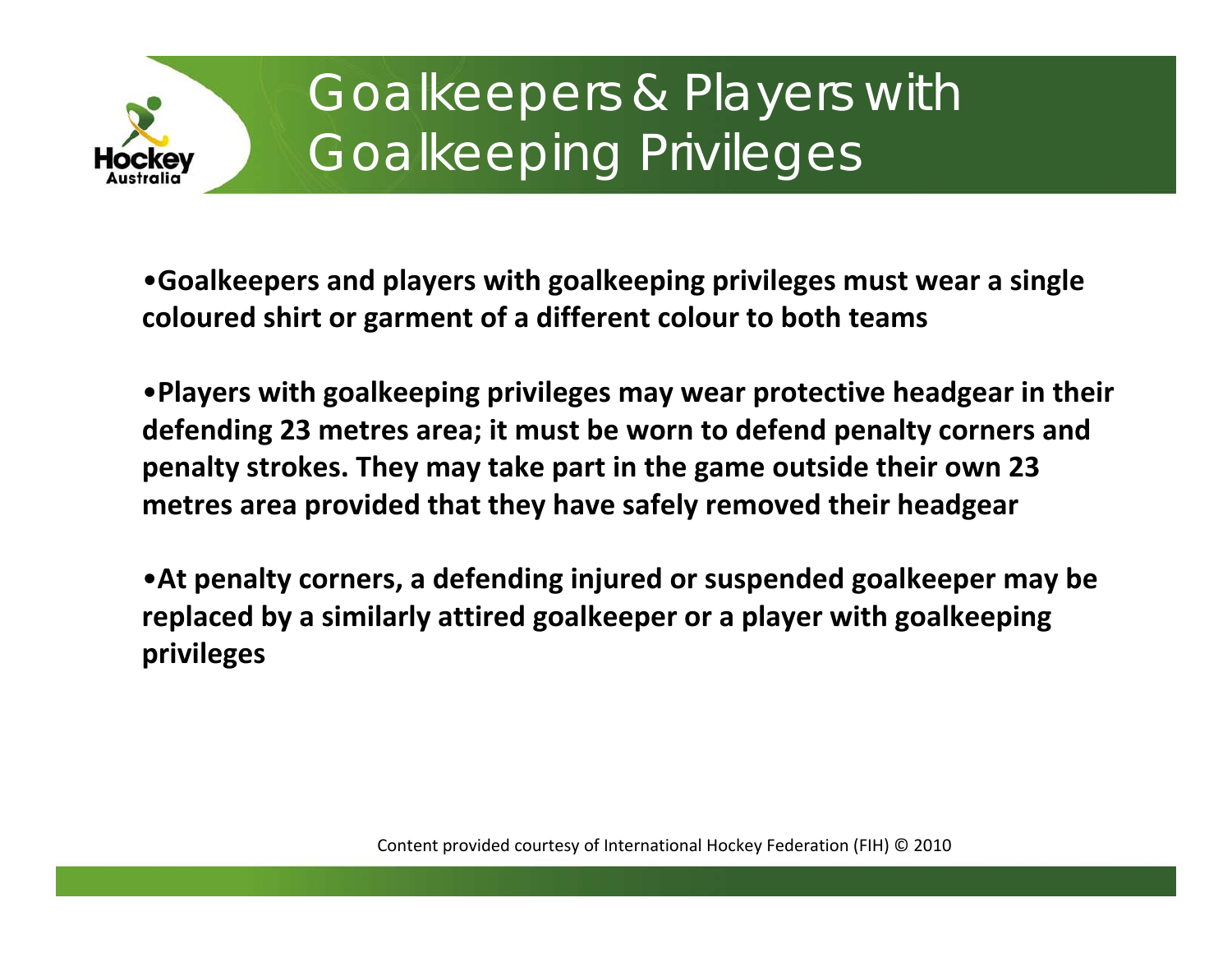

# Goalkeepers & Players with Goalkeeping Privileges

•**Goalkeepers and players with goalkeeping privileges must wear a single coloured shirt or garment of a different colour to both teams**

•**Players with goalkeeping privileges may wear protective headgear in their defending 23 metres area; it must be worn to defend penalty corners and penalty strokes. They may take part in the game outside their own 23 metres area provided that they have safely removed their headgear**

•**At penalty corners, a defending injured or suspended goalkeeper may be replaced by a similarly attired goalkeeper or a player with goalkeeping privileges**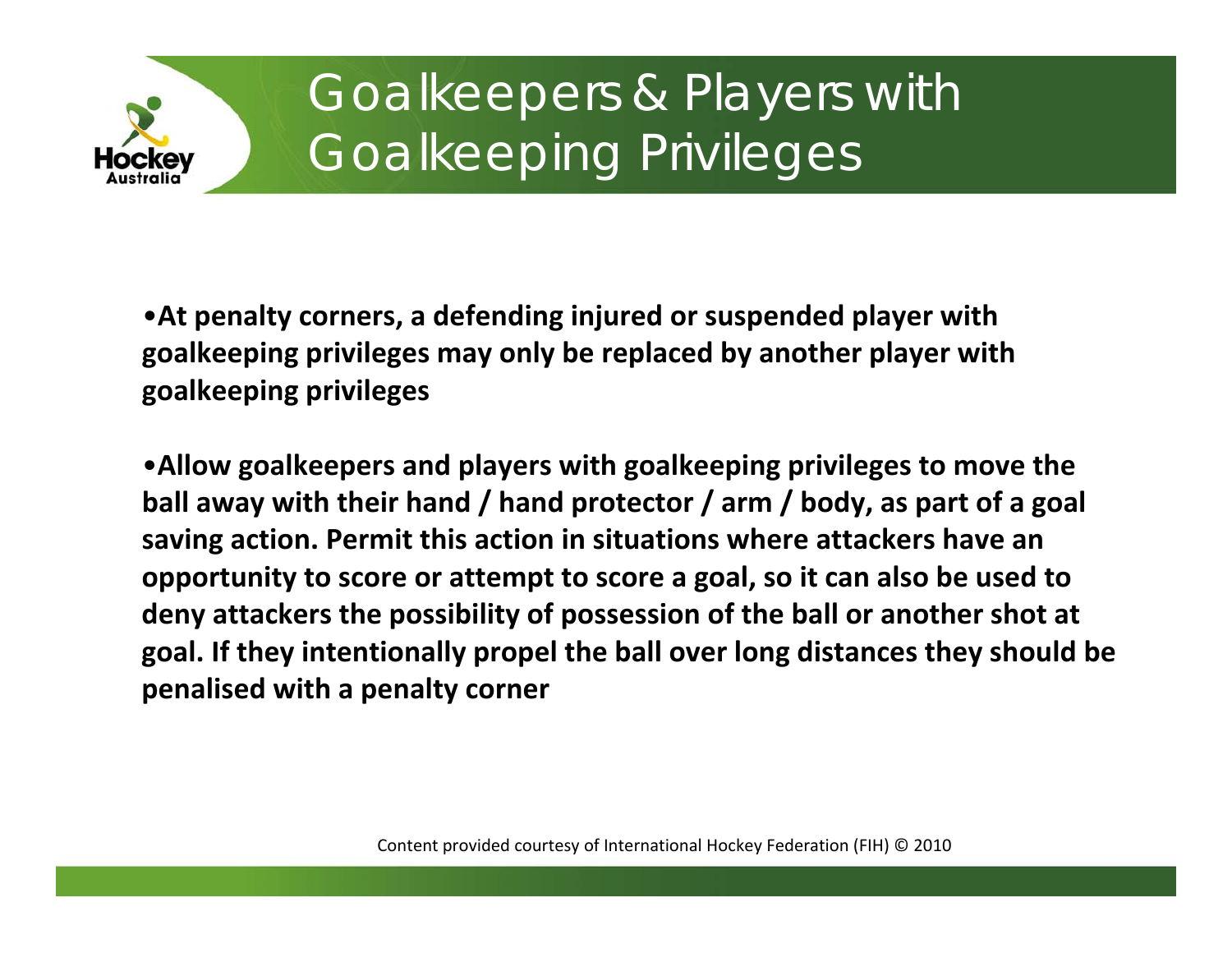

# Goalkeepers & Players with Goalkeeping Privileges

•**At penalty corners, <sup>a</sup> defending injured or suspended player with goalkeeping privileges may only be replaced by another player with goalkeeping privileges**

•**Allow goalkeepers and players with goalkeeping privileges to move the ball away with their hand / hand protector / arm / body, as part of <sup>a</sup> goal saving action. Permit this action in situations where attackers have an opportunity to score or attempt to score <sup>a</sup> goal, so it can also be used to deny attackers the possibility of possession of the ball or another shot at goal. If they intentionally propel the ball over long distances they should be penalised with <sup>a</sup> penalty corner**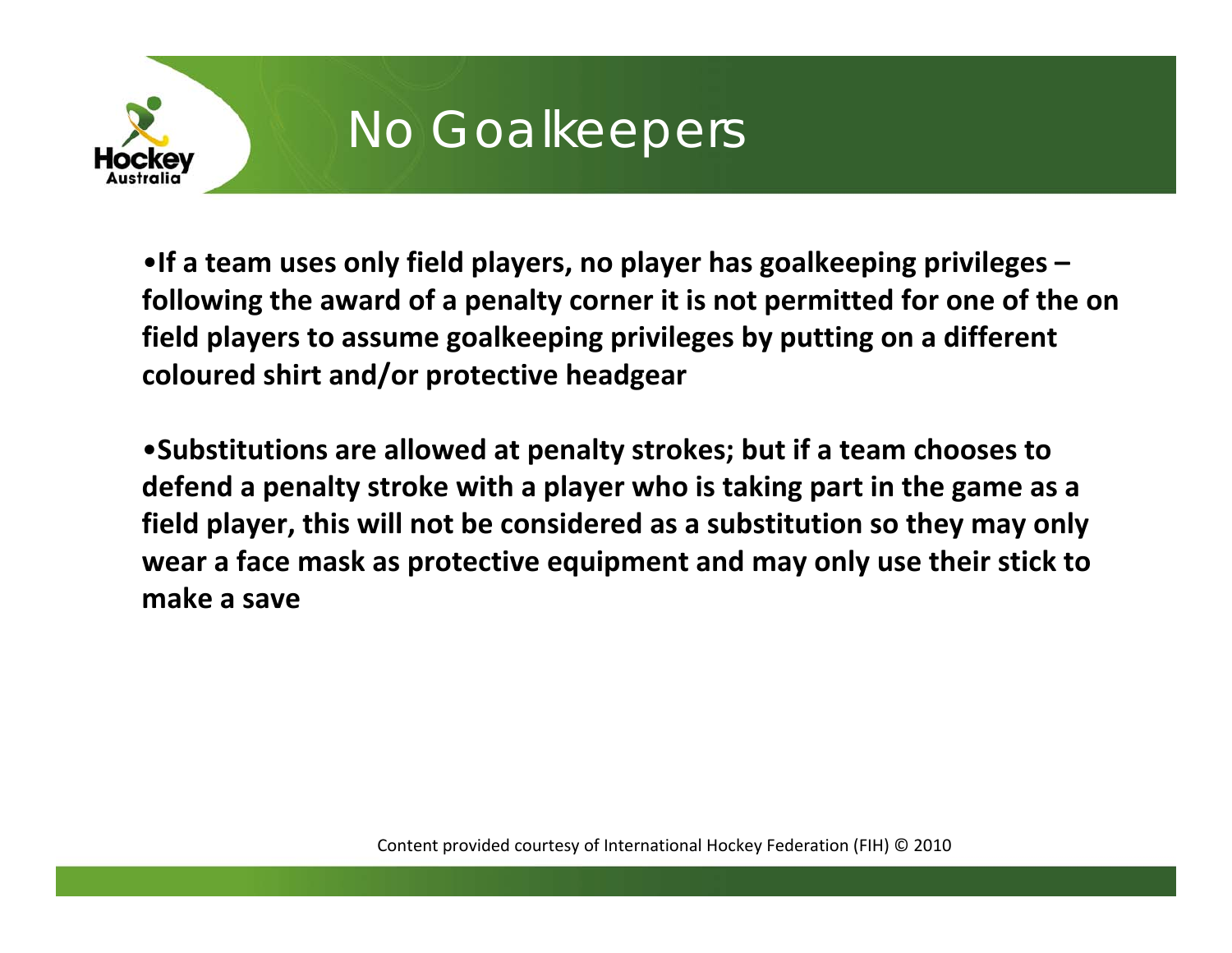

## No Goalkeepers

•**If a team uses only field players, no player has goalkeeping privileges – following the award of a penalty corner it is not permitted for one of the on field players to assume goalkeeping privileges by putting on a different coloured shirt and/or protective headgear**

•**Substitutions are allowed at penalty strokes; but if a team chooses to defend a penalty stroke with a player who is taking part in the game as a field player, this will not be considered as a substitution so they may only wear a face mask as protective equipment and may only use their stick to makea save**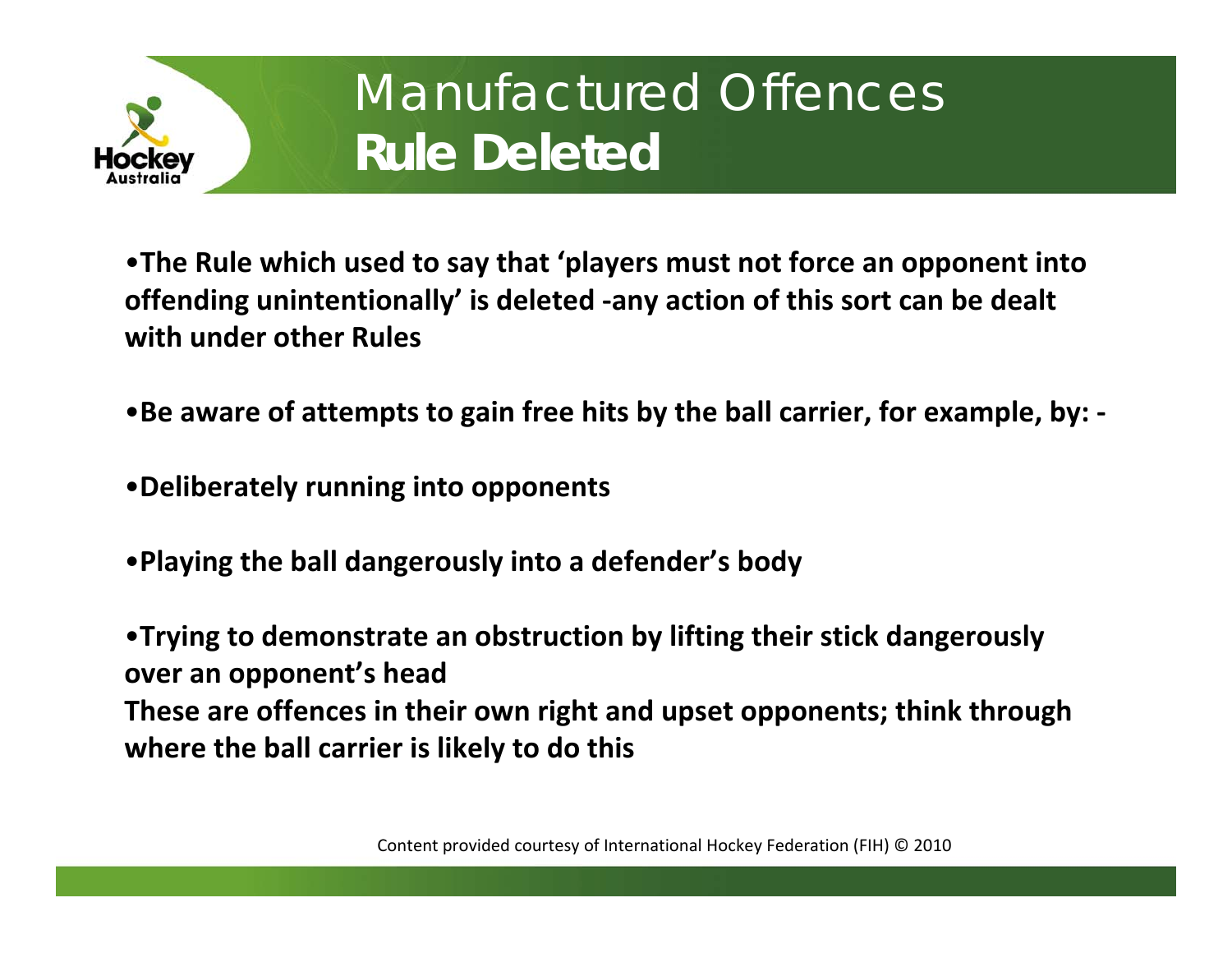

# Manufactured Offences **Rule Deleted**

•**The Rule which used to say that 'players must not force an opponent into offending unintentionally' is deleted ‐any action of this sort can be dealt with under other Rules**

- •**Be aware of attempts to gain free hits by the ball carrier, for example, by: ‐**
- •**Deliberately running into opponents**
- •**Playing the ball dangerously into a defender's body**

•**Trying to demonstrate an obstruction by lifting their stick dangerously over an opponent's head These are offences in their own right and upset opponents; think through where the ball carrier is likely to do this**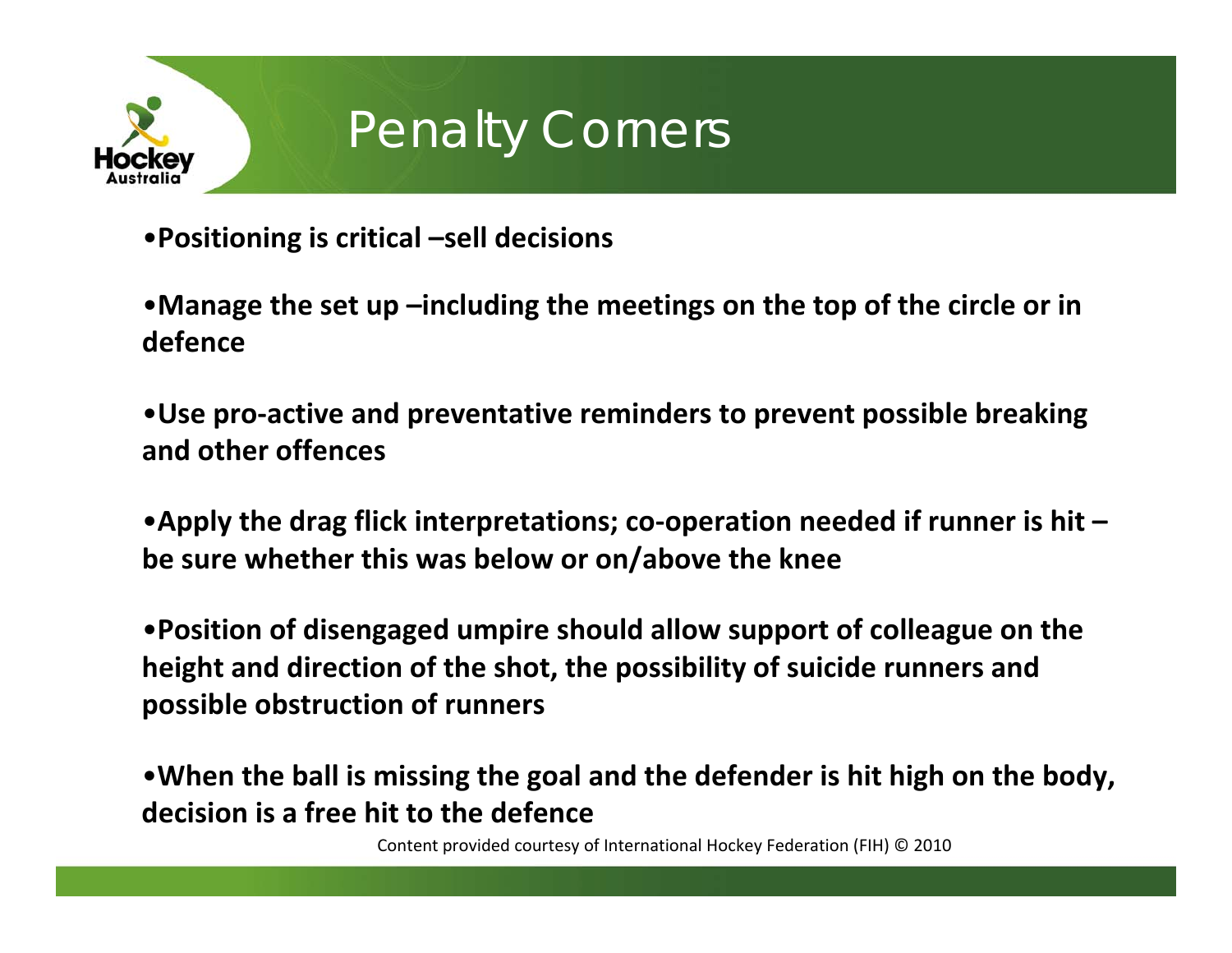

## Penalty Corners

- •**Positioning is critical –sell decisions**
- •**Manage the set up –including the meetings on the top of the circle or in defence**
- •**Use pro ‐active and preventative reminders to prevent possible breaking and other offences**
- •**Apply the drag flick interpretations; co ‐operation needed if runner is hit – be sure whether this was below or on/above the knee**
- •**Position of disengaged umpire should allow support of colleague on the height and direction of the shot, the possibility of suicide runners and possible obstruction of runners**

•**When the ball is missing the goal and the defender is hit high on the body, decision is a free hit to the defence**

Content provided courtesy of International Hockey Federation (FIH) © 2010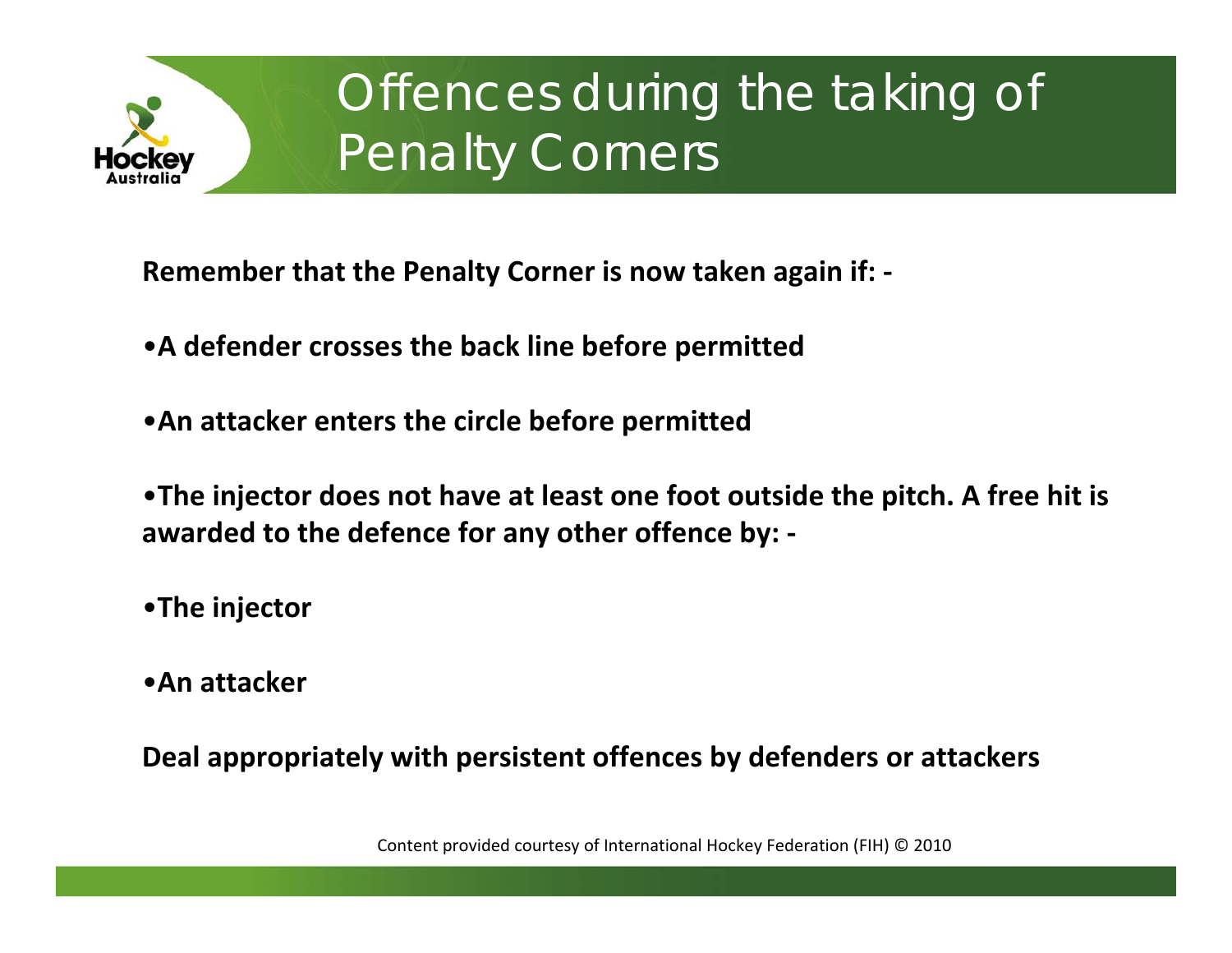

# Offences during the taking of Penalty Corners

**Remember that the Penalty Corner is now taken again if: ‐**

- **A defender crosses the back line before permitted**
- •**An attacker enters the circle before permitted**
- •**The injector does not have at least one foot outside the pitch. A free hit is awarded to the defence for any other offence by: ‐**
- •**The injector**
- •**An attacker**

**Deal appropriately with persistent offences by defenders or attackers**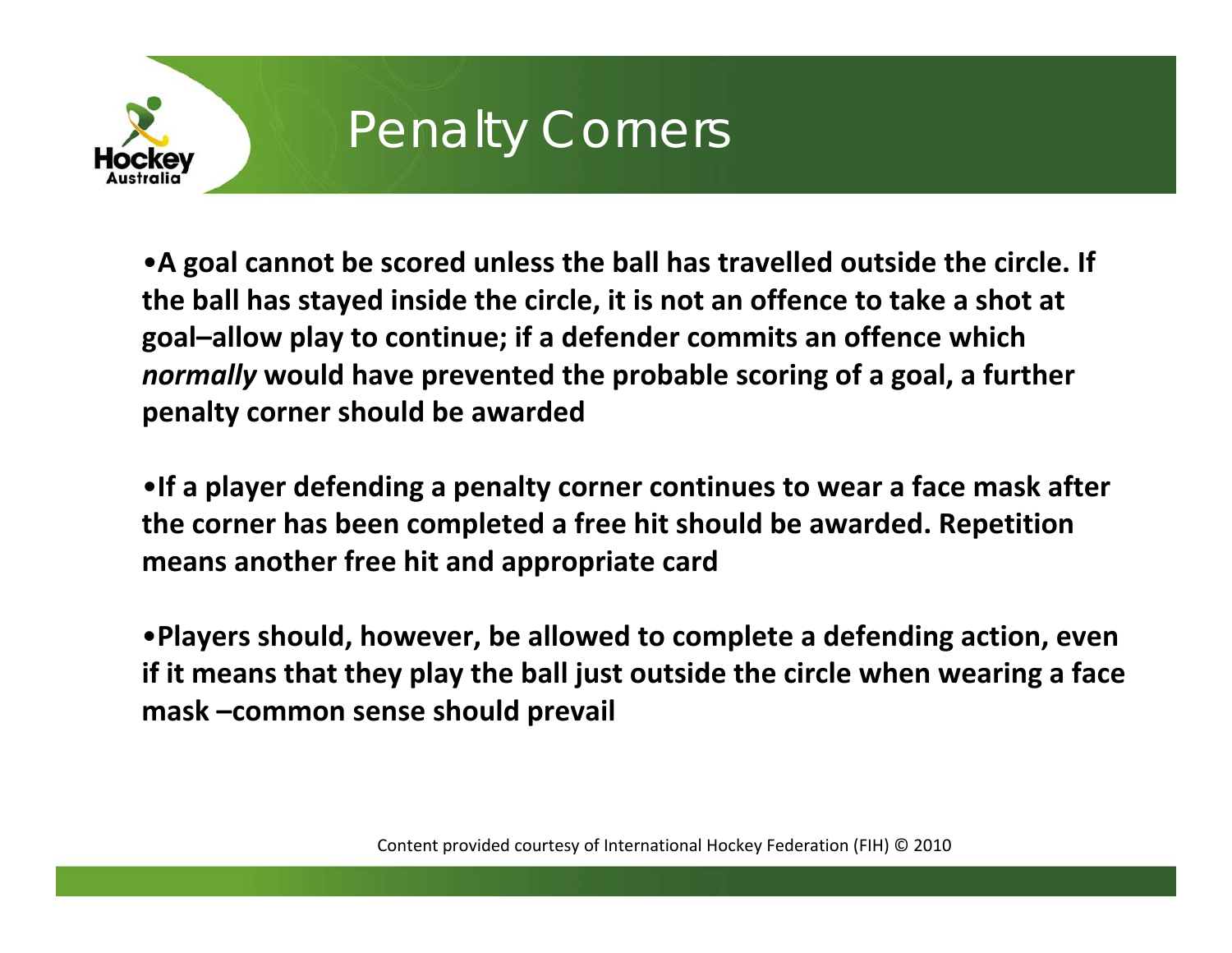

# **Penalty Corners**

• **A goal cannot be scored unless the ball has travelled outside the circle. If the ball has stayed inside the circle, it is not an offence to take a shot at goal–allow play to continue; if a defender commits an offence which** *normally* **would have prevented the probable scoring of a goal, a further penalty corner should be awarded**

•**If a player defending a penalty corner continues to wear a face mask after the corner has been completed a free hit should be awarded. Repetition means another free hit and appropriate card**

•**Players should, however, be allowed to complete a defending action, even if it means that they play the ball just outside the circle when wearing a face mask –common sense should prevail**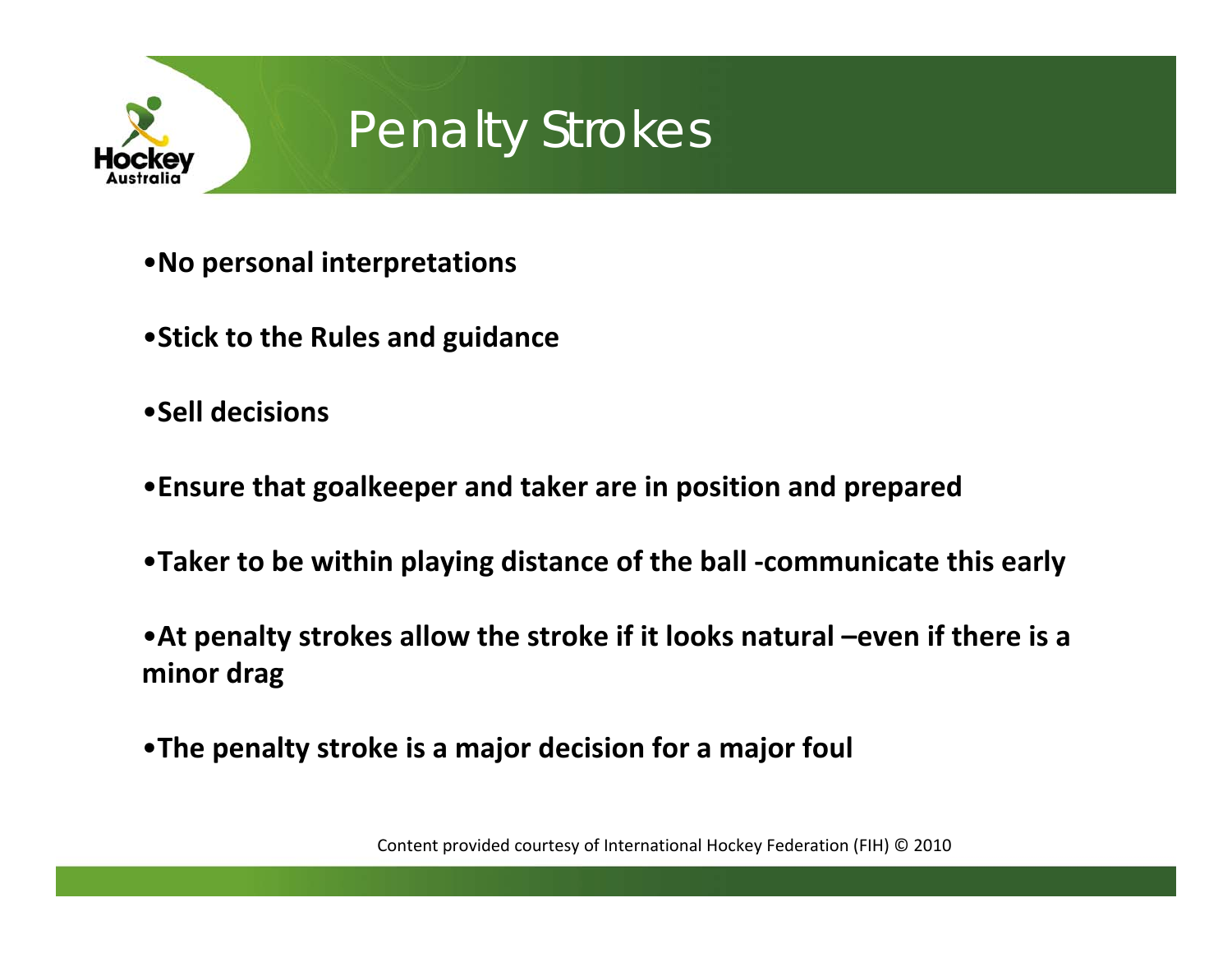

## Penalty Strokes

- •**No personal interpretations**
- •**Stick to the Rules and guidance**
- •**Sell decisions**
- •**Ensure that goalkeeper and taker are in position and prepared**
- •**Taker to be within playing distance of the ball ‐communicate this early**
- •**At penalty strokes allow the stroke if it looks natural –even if there is a minor drag**
- •**The penalty stroke is a major decision for a major foul**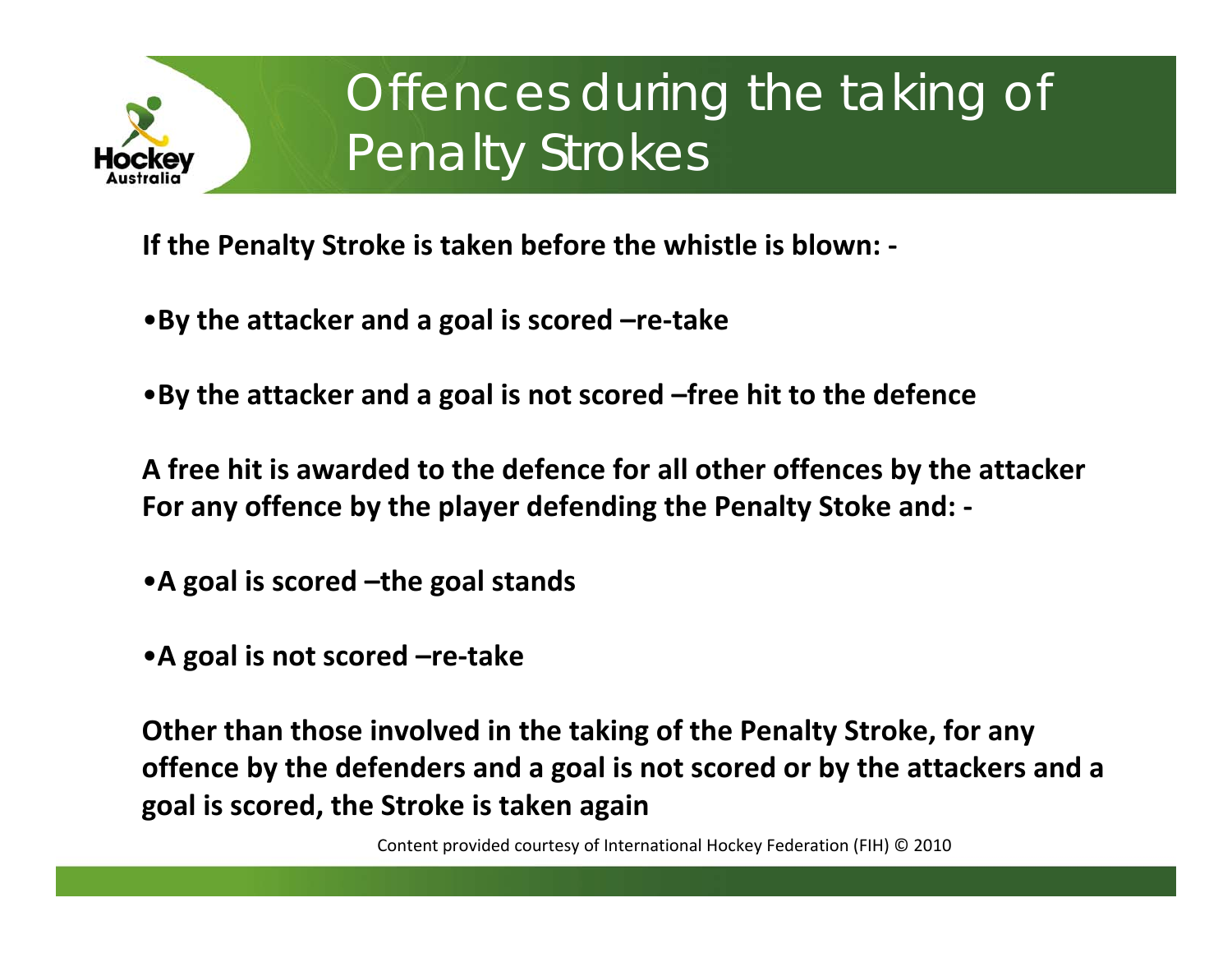

# Offences during the taking of Penalty Strokes<sup>'</sup>

**If the Penalty Stroke is taken before the whistle is blown: ‐**

•**By the attacker and a goal is scored –re ‐take**

•**By the attacker and a goal is not scored –free hit to the defence**

**A free hit is awarded to the defence for all other offences by the attacker For any offence by the player defending the Penalty Stoke and: ‐**

• **A goal is scored –the goal stands**

• **A goal is not scored –re ‐take**

**Other than those involved in the taking of the Penalty Stroke, for any offence by the defenders and a goal is not scored or by the attackers and a goal is scored, the Stroke is taken again**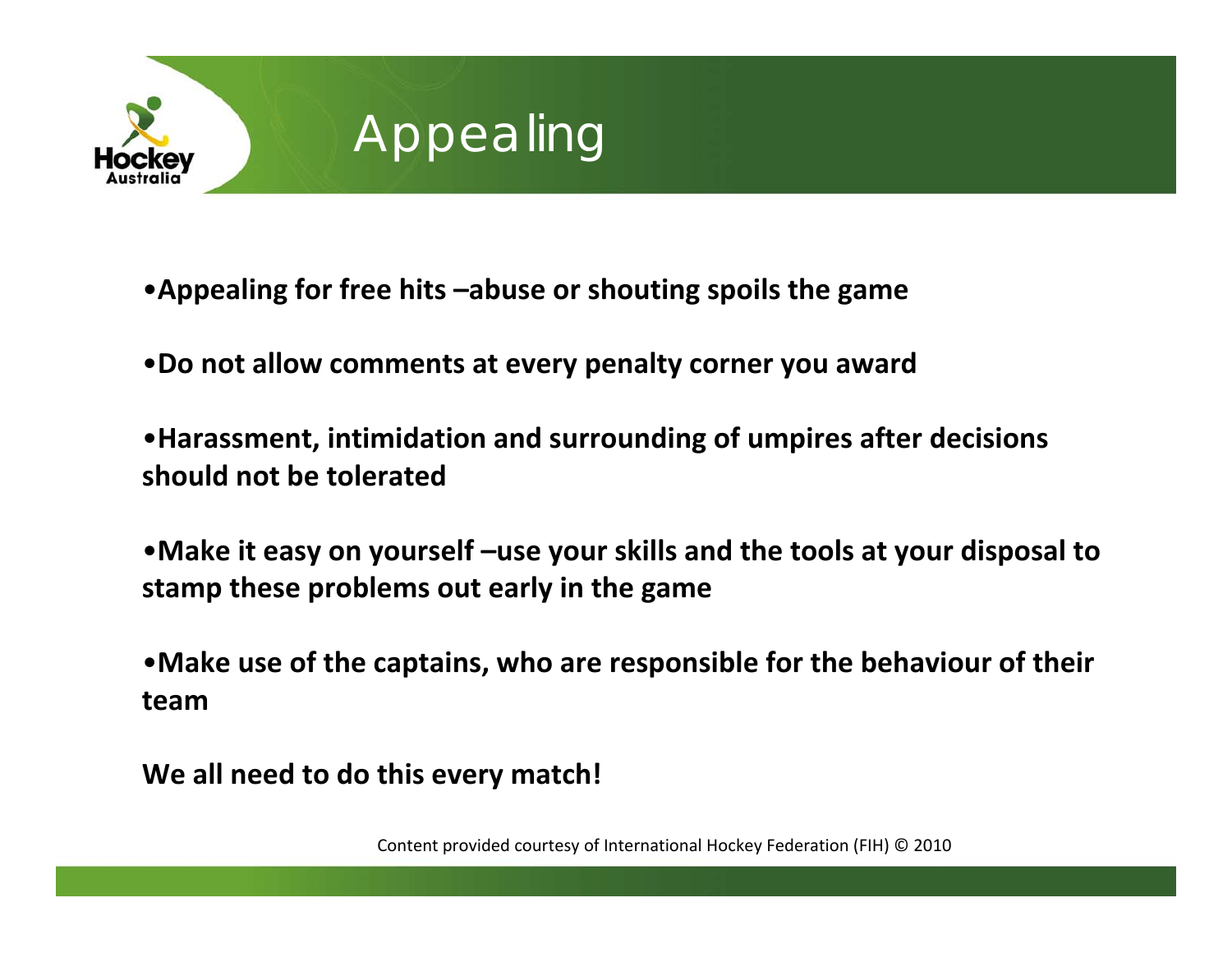

# Appealing

- •**Appealing for free hits –abuse or shouting spoils the game**
- •**Do not allow comments at every penalty corner you award**
- •**Harassment, intimidation and surrounding of umpires after decisions should not be tolerated**
- •**Make it easy on yourself –use your skills and the tools at your disposal to stamp these problems out early in the game**
- •**Make use of the captains, who are responsible for the behaviour of their team**
- **We all need to do this every match!**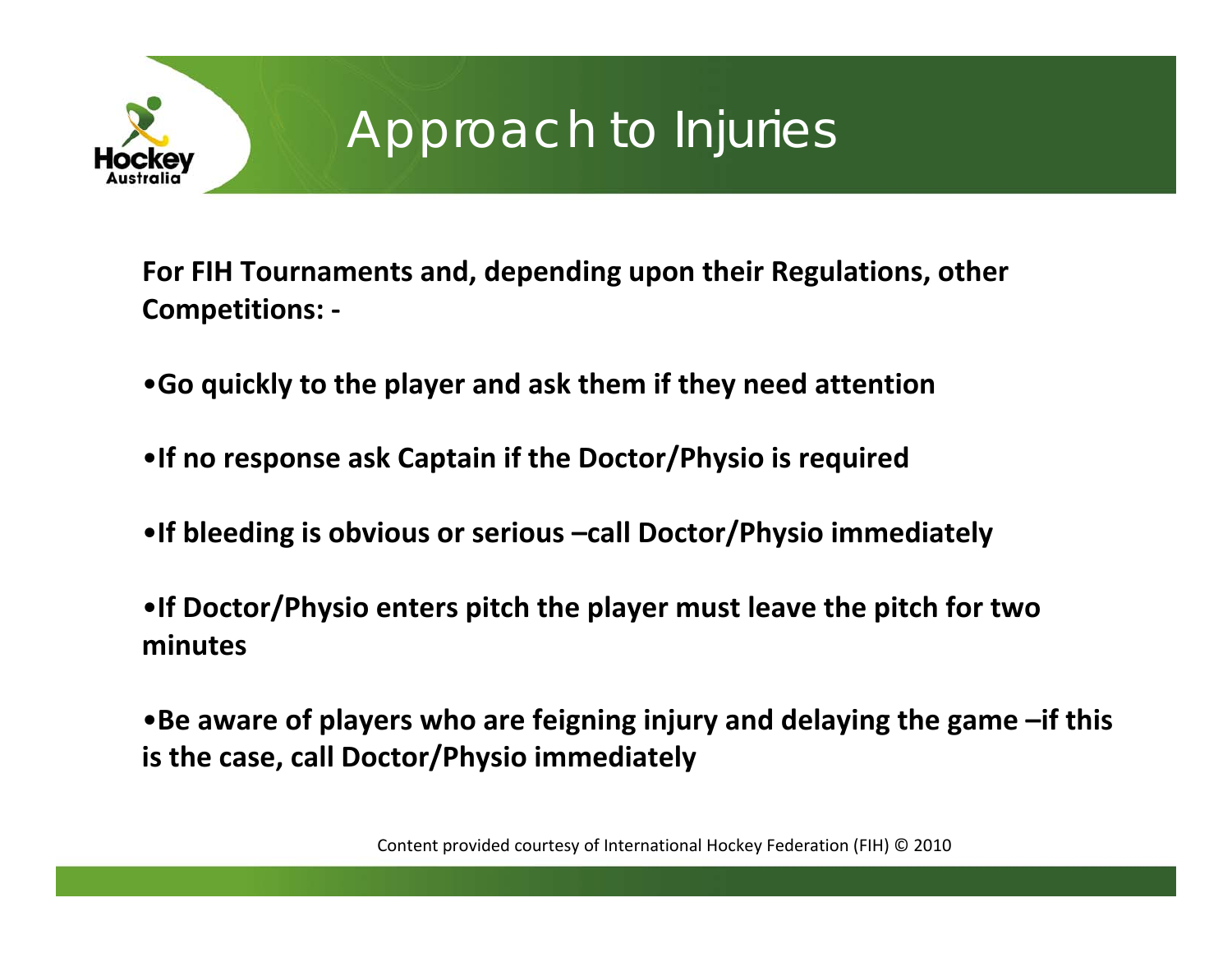

#### Approach to Injuries

**For FIH Tournaments and, depending upon their Regulations, other Competitions: ‐**

•**Go quickly to the player and ask them if they need attention**

•**If no response ask Captain if the Doctor/Physio is required**

•**If bleeding is obvious or serious –call Doctor/Physio immediately**

•**If Doctor/Physio enters pitch the player must leave the pitch for two minutes**

•**Be aware of players who are feigning injury and delaying the game –if this is the case, call Doctor/Physio immediately**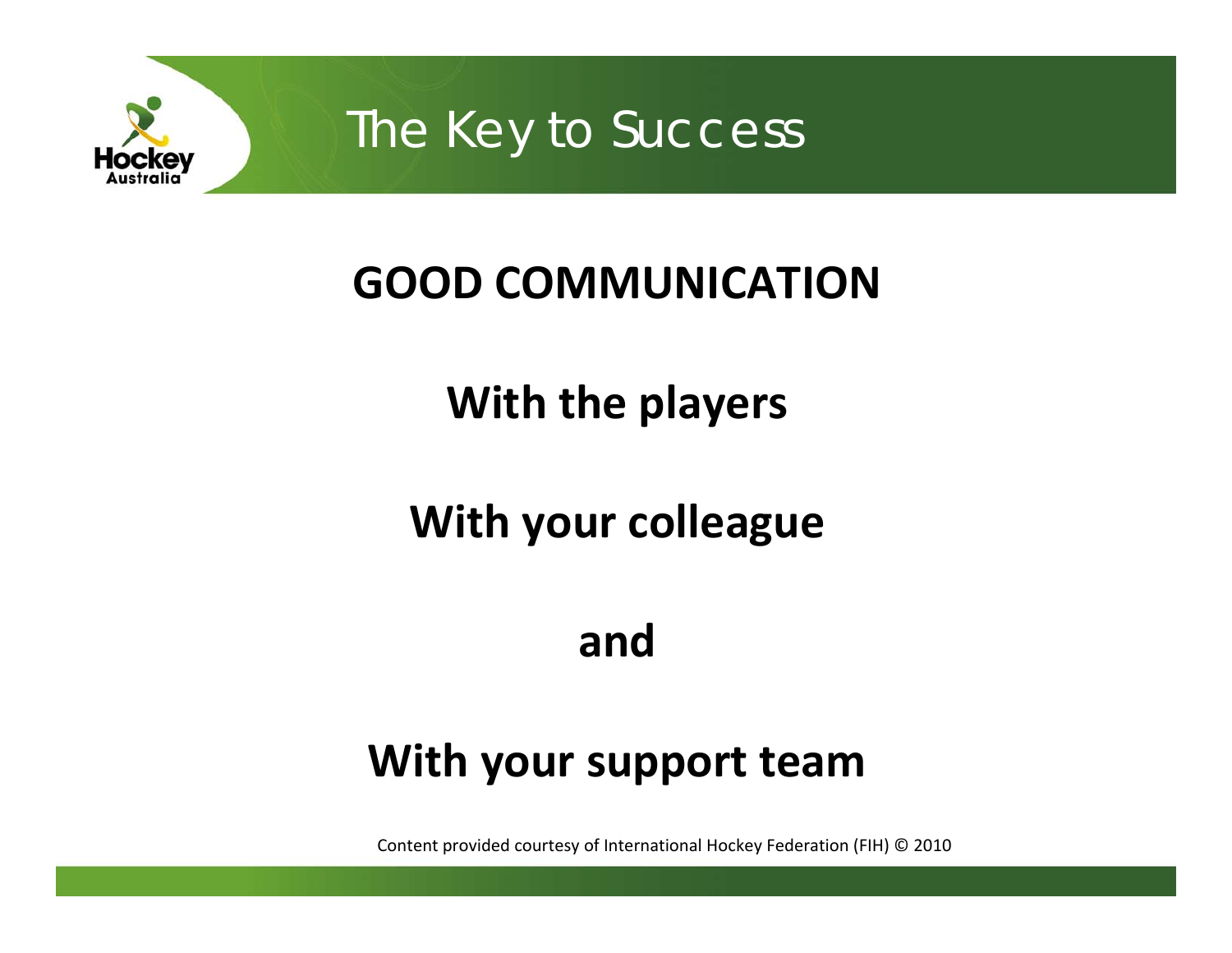

The Key to Success

## **GOOD COMMUNICATION**

## **With the players**

## **With your colleague**

#### **and**

#### **With your support team**

Content provided courtesy of International Hockey Federation (FIH) © 2010